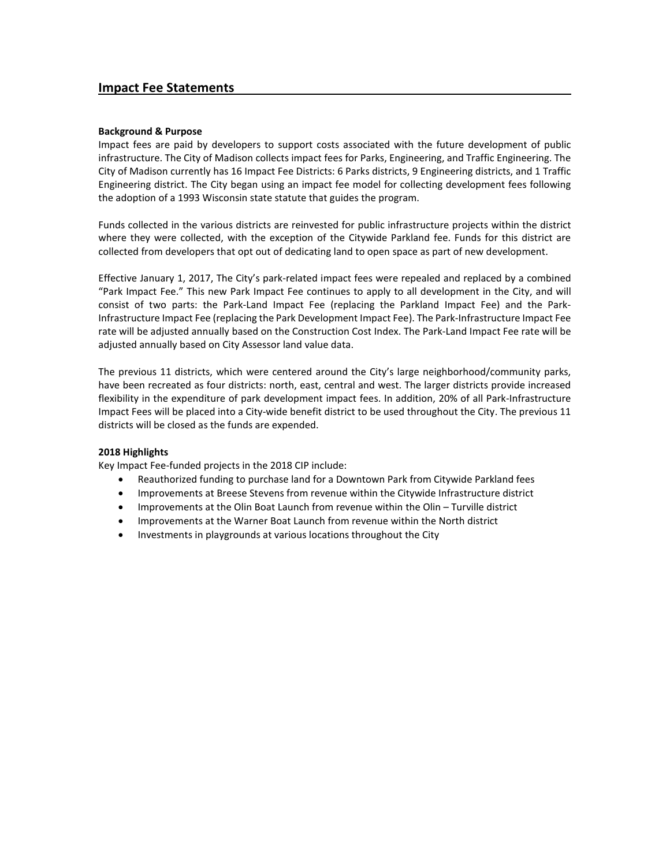#### **Background & Purpose**

Impact fees are paid by developers to support costs associated with the future development of public infrastructure. The City of Madison collects impact fees for Parks, Engineering, and Traffic Engineering. The City of Madison currently has 16 Impact Fee Districts: 6 Parks districts, 9 Engineering districts, and 1 Traffic Engineering district. The City began using an impact fee model for collecting development fees following the adoption of a 1993 Wisconsin state statute that guides the program.

Funds collected in the various districts are reinvested for public infrastructure projects within the district where they were collected, with the exception of the Citywide Parkland fee. Funds for this district are collected from developers that opt out of dedicating land to open space as part of new development.

Effective January 1, 2017, The City's park-related impact fees were repealed and replaced by a combined "Park Impact Fee." This new Park Impact Fee continues to apply to all development in the City, and will consist of two parts: the Park-Land Impact Fee (replacing the Parkland Impact Fee) and the Park-Infrastructure Impact Fee (replacing the Park Development Impact Fee). The Park-Infrastructure Impact Fee rate will be adjusted annually based on the Construction Cost Index. The Park-Land Impact Fee rate will be adjusted annually based on City Assessor land value data.

The previous 11 districts, which were centered around the City's large neighborhood/community parks, have been recreated as four districts: north, east, central and west. The larger districts provide increased flexibility in the expenditure of park development impact fees. In addition, 20% of all Park-Infrastructure Impact Fees will be placed into a City-wide benefit district to be used throughout the City. The previous 11 districts will be closed as the funds are expended.

#### **2018 Highlights**

Key Impact Fee-funded projects in the 2018 CIP include:

- Reauthorized funding to purchase land for a Downtown Park from Citywide Parkland fees
- Improvements at Breese Stevens from revenue within the Citywide Infrastructure district
- Improvements at the Olin Boat Launch from revenue within the Olin Turville district
- Improvements at the Warner Boat Launch from revenue within the North district
- Investments in playgrounds at various locations throughout the City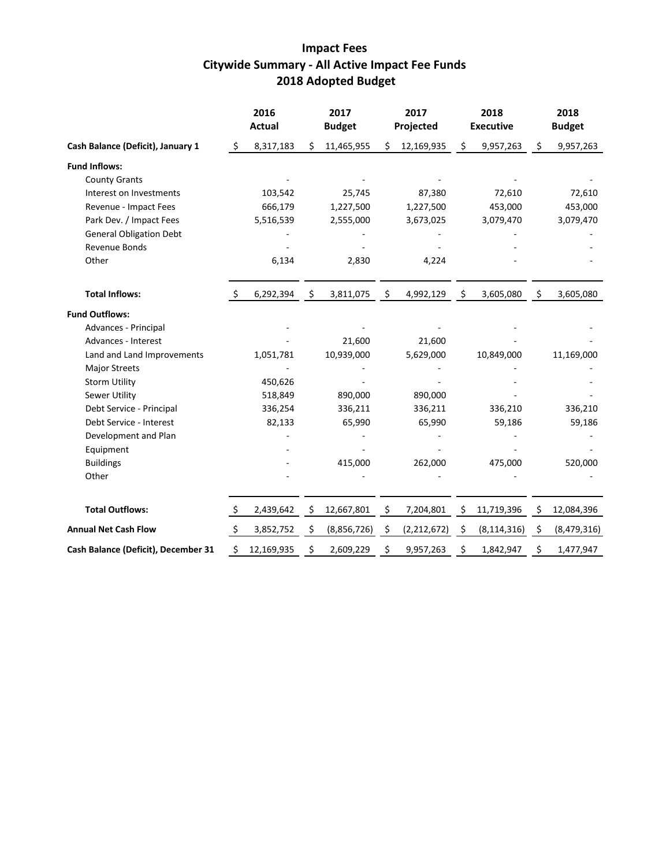# **Impact Fees Citywide Summary - All Active Impact Fee Funds 2018 Adopted Budget**

|                                     |         | 2016<br><b>Actual</b> | 2017<br><b>Budget</b> |    | 2017<br>Projected |     | 2018<br><b>Executive</b> | 2018<br><b>Budget</b> |
|-------------------------------------|---------|-----------------------|-----------------------|----|-------------------|-----|--------------------------|-----------------------|
| Cash Balance (Deficit), January 1   | \$      | 8,317,183             | \$<br>11,465,955      | \$ | 12,169,935        | \$  | 9,957,263                | \$<br>9,957,263       |
| <b>Fund Inflows:</b>                |         |                       |                       |    |                   |     |                          |                       |
| <b>County Grants</b>                |         |                       |                       |    |                   |     |                          |                       |
| Interest on Investments             |         | 103,542               | 25,745                |    | 87,380            |     | 72,610                   | 72,610                |
| Revenue - Impact Fees               |         | 666,179               | 1,227,500             |    | 1,227,500         |     | 453,000                  | 453,000               |
| Park Dev. / Impact Fees             |         | 5,516,539             | 2,555,000             |    | 3,673,025         |     | 3,079,470                | 3,079,470             |
| <b>General Obligation Debt</b>      |         |                       |                       |    |                   |     |                          |                       |
| Revenue Bonds                       |         |                       |                       |    |                   |     |                          |                       |
| Other                               |         | 6,134                 | 2,830                 |    | 4,224             |     |                          |                       |
| <b>Total Inflows:</b>               | S.      | 6,292,394             | \$<br>3,811,075       | \$ | 4,992,129         | \$  | 3,605,080                | \$<br>3,605,080       |
| <b>Fund Outflows:</b>               |         |                       |                       |    |                   |     |                          |                       |
| Advances - Principal                |         |                       |                       |    |                   |     |                          |                       |
| Advances - Interest                 |         |                       | 21,600                |    | 21,600            |     |                          |                       |
| Land and Land Improvements          |         | 1,051,781             | 10,939,000            |    | 5,629,000         |     | 10,849,000               | 11,169,000            |
| <b>Major Streets</b>                |         |                       |                       |    |                   |     |                          |                       |
| <b>Storm Utility</b>                |         | 450,626               |                       |    |                   |     |                          |                       |
| Sewer Utility                       |         | 518,849               | 890,000               |    | 890,000           |     |                          |                       |
| Debt Service - Principal            |         | 336,254               | 336,211               |    | 336,211           |     | 336,210                  | 336,210               |
| Debt Service - Interest             |         | 82,133                | 65,990                |    | 65,990            |     | 59,186                   | 59,186                |
| Development and Plan                |         |                       |                       |    |                   |     |                          |                       |
| Equipment                           |         |                       |                       |    |                   |     |                          |                       |
| <b>Buildings</b>                    |         |                       | 415,000               |    | 262,000           |     | 475,000                  | 520,000               |
| Other                               |         |                       |                       |    |                   |     |                          |                       |
| <b>Total Outflows:</b>              | $\zeta$ | 2,439,642             | \$<br>12,667,801      | Ş  | 7,204,801         | Ş   | 11,719,396               | \$<br>12,084,396      |
| <b>Annual Net Cash Flow</b>         | \$      | 3,852,752             | \$<br>(8,856,726)     | S  | (2, 212, 672)     | \$. | (8, 114, 316)            | \$<br>(8,479,316)     |
| Cash Balance (Deficit), December 31 | Ś       | 12,169,935            | \$<br>2,609,229       | \$ | 9,957,263         | \$  | 1,842,947                | \$<br>1,477,947       |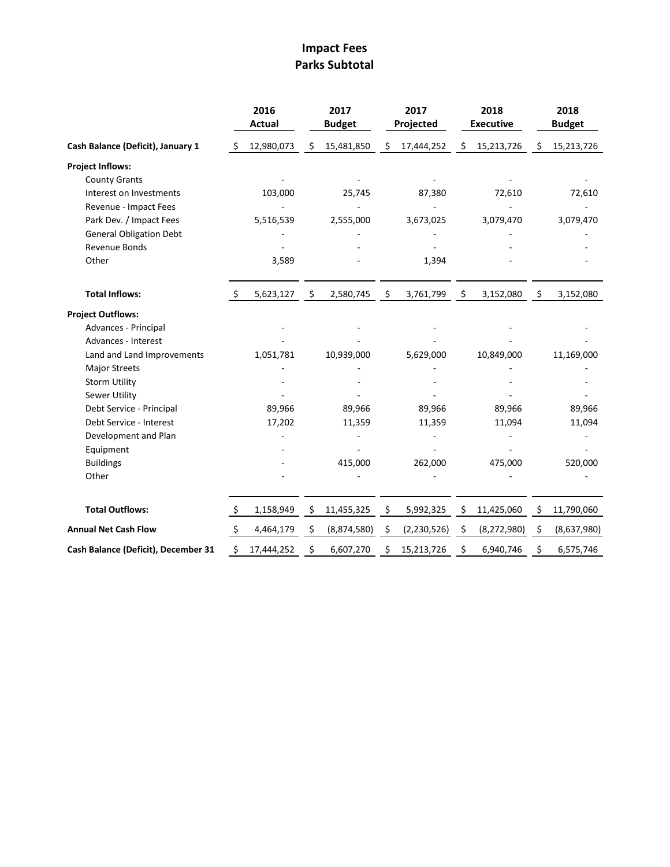# **Impact Fees Parks Subtotal**

|                                     |                    | 2016<br><b>Actual</b> |      | 2017<br><b>Budget</b> |     | 2017<br>Projected |      | 2018<br><b>Executive</b> | 2018<br><b>Budget</b> |
|-------------------------------------|--------------------|-----------------------|------|-----------------------|-----|-------------------|------|--------------------------|-----------------------|
| Cash Balance (Deficit), January 1   | -\$                | 12,980,073            | \$   | 15,481,850            | \$  | 17,444,252        | \$   | 15,213,726               | \$<br>15,213,726      |
| <b>Project Inflows:</b>             |                    |                       |      |                       |     |                   |      |                          |                       |
| <b>County Grants</b>                |                    |                       |      |                       |     |                   |      |                          |                       |
| Interest on Investments             |                    | 103,000               |      | 25,745                |     | 87,380            |      | 72,610                   | 72,610                |
| Revenue - Impact Fees               |                    |                       |      |                       |     |                   |      |                          |                       |
| Park Dev. / Impact Fees             |                    | 5,516,539             |      | 2,555,000             |     | 3,673,025         |      | 3,079,470                | 3,079,470             |
| <b>General Obligation Debt</b>      |                    |                       |      |                       |     |                   |      |                          |                       |
| Revenue Bonds                       |                    |                       |      |                       |     |                   |      |                          |                       |
| Other                               |                    | 3,589                 |      |                       |     | 1,394             |      |                          |                       |
| <b>Total Inflows:</b>               | -S                 | 5,623,127             | - \$ | 2,580,745             | \$  | 3,761,799         | - \$ | 3,152,080                | \$<br>3,152,080       |
| <b>Project Outflows:</b>            |                    |                       |      |                       |     |                   |      |                          |                       |
| Advances - Principal                |                    |                       |      |                       |     |                   |      |                          |                       |
| Advances - Interest                 |                    |                       |      |                       |     |                   |      |                          |                       |
| Land and Land Improvements          |                    | 1,051,781             |      | 10,939,000            |     | 5,629,000         |      | 10,849,000               | 11,169,000            |
| <b>Major Streets</b>                |                    |                       |      |                       |     |                   |      |                          |                       |
| <b>Storm Utility</b>                |                    |                       |      |                       |     |                   |      |                          |                       |
| Sewer Utility                       |                    |                       |      |                       |     |                   |      |                          |                       |
| Debt Service - Principal            |                    | 89,966                |      | 89,966                |     | 89,966            |      | 89,966                   | 89,966                |
| Debt Service - Interest             |                    | 17,202                |      | 11,359                |     | 11,359            |      | 11,094                   | 11,094                |
| Development and Plan                |                    |                       |      |                       |     |                   |      |                          |                       |
| Equipment                           |                    |                       |      |                       |     |                   |      |                          |                       |
| <b>Buildings</b>                    |                    |                       |      | 415,000               |     | 262,000           |      | 475,000                  | 520,000               |
| Other                               |                    |                       |      |                       |     |                   |      |                          |                       |
| <b>Total Outflows:</b>              | \$                 | 1,158,949             | \$   | 11,455,325            | \$  | 5,992,325         | Ş    | 11,425,060               | \$<br>11,790,060      |
| <b>Annual Net Cash Flow</b>         | $\ddot{\varsigma}$ | 4,464,179             | \$   | (8,874,580)           | \$. | (2, 230, 526)     | \$   | (8, 272, 980)            | \$<br>(8,637,980)     |
| Cash Balance (Deficit), December 31 | \$                 | 17,444,252            | \$   | 6,607,270             | S   | 15,213,726        | Ś    | 6,940,746                | \$<br>6,575,746       |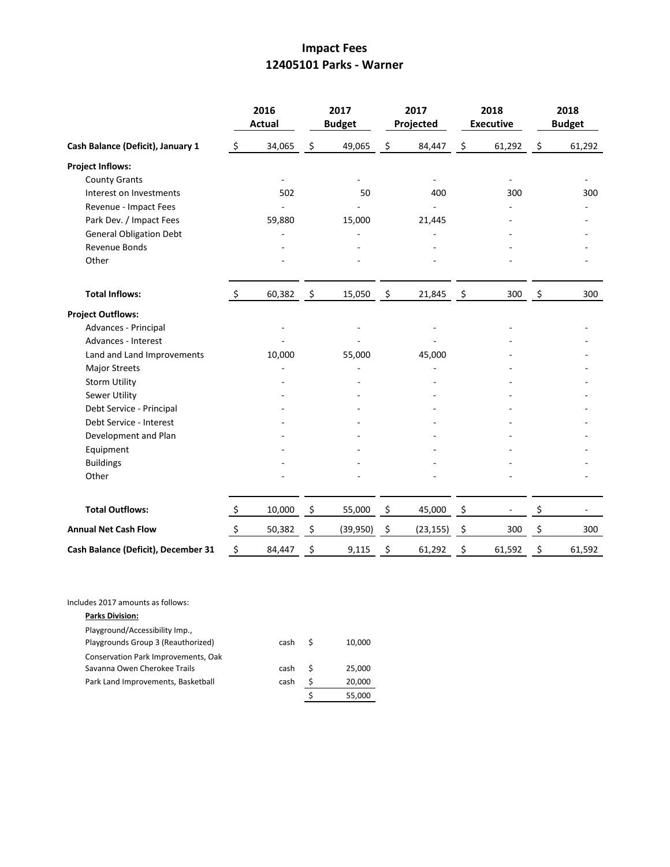## **Impact Fees 12405101 Parks - Warner**

|                                     |                     | 2016<br><b>Actual</b> |               | 2017<br><b>Budget</b> | 2017<br>Projected | 2018<br><b>Executive</b> | 2018<br><b>Budget</b> |
|-------------------------------------|---------------------|-----------------------|---------------|-----------------------|-------------------|--------------------------|-----------------------|
| Cash Balance (Deficit), January 1   | $\ddot{\varsigma}$  | 34,065                | \$            | 49,065                | \$<br>84,447      | \$<br>61,292             | \$<br>61,292          |
| <b>Project Inflows:</b>             |                     |                       |               |                       |                   |                          |                       |
| <b>County Grants</b>                |                     |                       |               |                       | ÷,                |                          |                       |
| Interest on Investments             |                     | 502                   |               | 50                    | 400               | 300                      | 300                   |
| Revenue - Impact Fees               |                     |                       |               |                       |                   |                          |                       |
| Park Dev. / Impact Fees             |                     | 59,880                |               | 15,000                | 21,445            |                          |                       |
| <b>General Obligation Debt</b>      |                     |                       |               |                       |                   |                          |                       |
| <b>Revenue Bonds</b>                |                     |                       |               |                       |                   |                          |                       |
| Other                               |                     |                       |               |                       |                   |                          |                       |
| <b>Total Inflows:</b>               | $\ddot{\zeta}$      | 60,382                | $\ddot{\phi}$ | 15,050                | \$<br>21,845      | \$<br>300                | \$<br>300             |
| <b>Project Outflows:</b>            |                     |                       |               |                       |                   |                          |                       |
| Advances - Principal                |                     |                       |               |                       |                   |                          |                       |
| Advances - Interest                 |                     |                       |               |                       |                   |                          |                       |
| Land and Land Improvements          |                     | 10,000                |               | 55,000                | 45,000            |                          |                       |
| <b>Major Streets</b>                |                     |                       |               |                       |                   |                          |                       |
| <b>Storm Utility</b>                |                     |                       |               |                       |                   |                          |                       |
| Sewer Utility                       |                     |                       |               |                       |                   |                          |                       |
| Debt Service - Principal            |                     |                       |               |                       |                   |                          |                       |
| Debt Service - Interest             |                     |                       |               |                       |                   |                          |                       |
| Development and Plan                |                     |                       |               |                       |                   |                          |                       |
| Equipment                           |                     |                       |               |                       |                   |                          |                       |
| <b>Buildings</b>                    |                     |                       |               |                       |                   |                          |                       |
| Other                               |                     |                       |               |                       |                   |                          |                       |
| <b>Total Outflows:</b>              | $\ddot{\mathsf{S}}$ | 10,000                | $\frac{5}{2}$ | 55,000                | \$<br>45,000      | \$                       | \$                    |
| <b>Annual Net Cash Flow</b>         | $\zeta$             | 50,382                | \$            | (39, 950)             | \$<br>(23, 155)   | \$<br>300                | \$<br>300             |
| Cash Balance (Deficit), December 31 | \$                  | 84,447                | \$            | 9,115                 | \$<br>61,292      | \$<br>61,592             | \$<br>61,592          |

Includes 2017 amounts as follows:

| <b>Parks Division:</b>                                               |      |   |        |
|----------------------------------------------------------------------|------|---|--------|
| Playground/Accessibility Imp.,<br>Playgrounds Group 3 (Reauthorized) | cash | S | 10,000 |
| Conservation Park Improvements, Oak<br>Savanna Owen Cherokee Trails  | cash | S | 25.000 |
| Park Land Improvements, Basketball                                   | cash | Ś | 20,000 |
|                                                                      |      |   | 55.000 |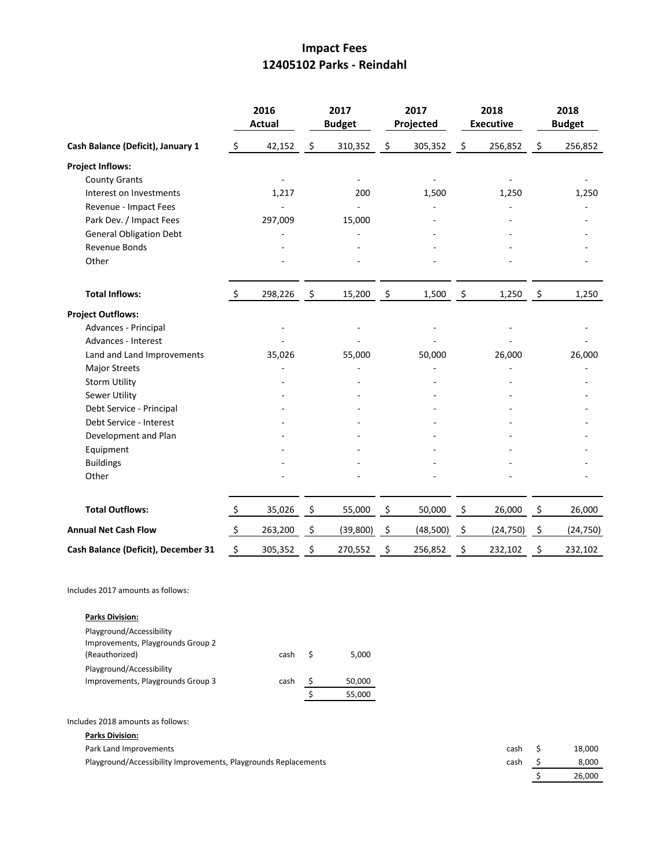### **Impact Fees 12405102 Parks - Reindahl**

|                                     |                     | 2016<br>Actual |                    | 2017<br><b>Budget</b> |                     | 2017<br>Projected | 2018<br><b>Executive</b> |                    | 2018<br><b>Budget</b> |
|-------------------------------------|---------------------|----------------|--------------------|-----------------------|---------------------|-------------------|--------------------------|--------------------|-----------------------|
| Cash Balance (Deficit), January 1   | \$                  | 42,152         | \$                 | 310,352               | \$                  | 305,352           | \$<br>256,852            | \$                 | 256,852               |
| <b>Project Inflows:</b>             |                     |                |                    |                       |                     |                   |                          |                    |                       |
| <b>County Grants</b>                |                     |                |                    |                       |                     |                   |                          |                    |                       |
| Interest on Investments             |                     | 1,217          |                    | 200                   |                     | 1,500             | 1,250                    |                    | 1,250                 |
| Revenue - Impact Fees               |                     |                |                    |                       |                     |                   |                          |                    |                       |
| Park Dev. / Impact Fees             |                     | 297,009        |                    | 15,000                |                     |                   |                          |                    |                       |
| <b>General Obligation Debt</b>      |                     |                |                    |                       |                     |                   |                          |                    |                       |
| Revenue Bonds                       |                     |                |                    |                       |                     |                   |                          |                    |                       |
| Other                               |                     |                |                    |                       |                     |                   |                          |                    |                       |
| <b>Total Inflows:</b>               | $\ddot{\varsigma}$  | 298,226        | $\ddot{\varsigma}$ | 15,200                | $\ddot{\mathsf{S}}$ | 1,500             | \$<br>1,250              | $\ddot{\varsigma}$ | 1,250                 |
| <b>Project Outflows:</b>            |                     |                |                    |                       |                     |                   |                          |                    |                       |
| Advances - Principal                |                     |                |                    |                       |                     |                   |                          |                    |                       |
| Advances - Interest                 |                     |                |                    |                       |                     |                   |                          |                    |                       |
| Land and Land Improvements          |                     | 35,026         |                    | 55,000                |                     | 50,000            | 26,000                   |                    | 26,000                |
| <b>Major Streets</b>                |                     |                |                    |                       |                     |                   |                          |                    |                       |
| <b>Storm Utility</b>                |                     |                |                    |                       |                     |                   |                          |                    |                       |
| <b>Sewer Utility</b>                |                     |                |                    |                       |                     |                   |                          |                    |                       |
| Debt Service - Principal            |                     |                |                    |                       |                     |                   |                          |                    |                       |
| Debt Service - Interest             |                     |                |                    |                       |                     |                   |                          |                    |                       |
| Development and Plan                |                     |                |                    |                       |                     |                   |                          |                    |                       |
| Equipment                           |                     |                |                    |                       |                     |                   |                          |                    |                       |
| <b>Buildings</b>                    |                     |                |                    |                       |                     |                   |                          |                    |                       |
| Other                               |                     |                |                    |                       |                     |                   |                          |                    |                       |
| <b>Total Outflows:</b>              | $\ddot{\mathsf{S}}$ | 35,026         | $\ddot{\varsigma}$ | 55,000                | \$                  | 50,000            | \$<br>26,000             | \$                 | 26,000                |
| <b>Annual Net Cash Flow</b>         | $\ddot{\varsigma}$  | 263,200        | \$                 | (39, 800)             | \$                  | (48,500)          | \$<br>(24, 750)          | \$                 | (24, 750)             |
| Cash Balance (Deficit), December 31 | $\zeta$             | 305,352        | \$                 | 270,552               | \$                  | 256,852           | \$<br>232,102            | \$                 | 232,102               |

Includes 2017 amounts as follows:

| <b>Parks Division:</b>            |      |   |        |
|-----------------------------------|------|---|--------|
| Playground/Accessibility          |      |   |        |
| Improvements, Playgrounds Group 2 |      |   |        |
| (Reauthorized)                    | cash | S | 5.000  |
| Playground/Accessibility          |      |   |        |
| Improvements, Playgrounds Group 3 | cash |   | 50,000 |
|                                   |      | S | 55,000 |

**Parks Division:**

Playground/Accessibility Improvements, Playgrounds Replacements cash cash 5 8,000

Park Land Improvements **and State 2008** Cash \$ 18,000  $\frac{1}{5}$  26,000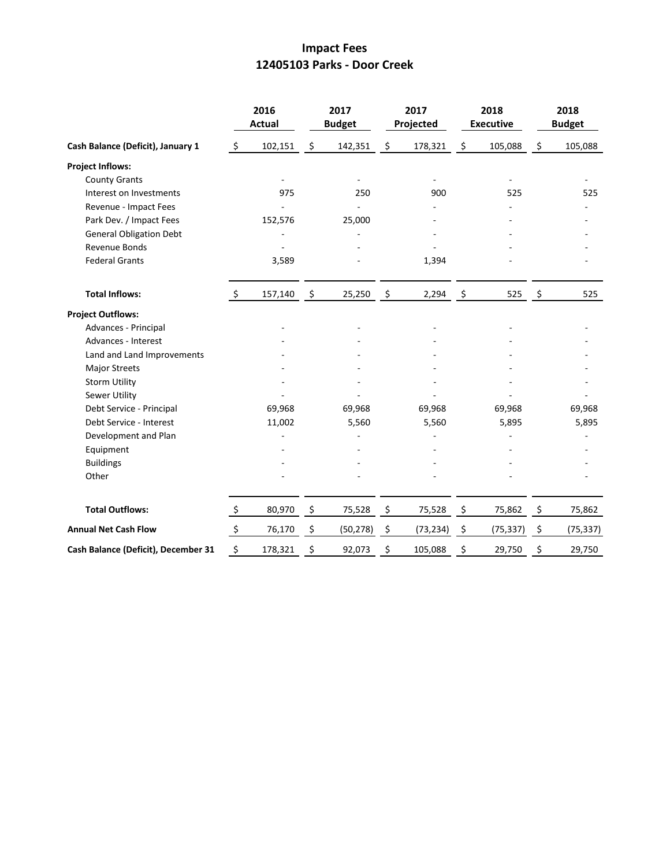### **Impact Fees 12405103 Parks - Door Creek**

|                                     |                | 2016<br><b>Actual</b> |                     | 2017<br><b>Budget</b> | 2017<br>Projected        |                     | 2018<br><b>Executive</b> |         | 2018<br><b>Budget</b> |
|-------------------------------------|----------------|-----------------------|---------------------|-----------------------|--------------------------|---------------------|--------------------------|---------|-----------------------|
| Cash Balance (Deficit), January 1   | $\zeta$        | 102,151               | $\ddot{\varsigma}$  | 142,351               | \$<br>178,321            | \$                  | 105,088                  | \$      | 105,088               |
| <b>Project Inflows:</b>             |                |                       |                     |                       |                          |                     |                          |         |                       |
| <b>County Grants</b>                |                |                       |                     |                       | $\overline{\phantom{a}}$ |                     |                          |         |                       |
| Interest on Investments             |                | 975                   |                     | 250                   | 900                      |                     | 525                      |         | 525                   |
| Revenue - Impact Fees               |                |                       |                     |                       |                          |                     |                          |         |                       |
| Park Dev. / Impact Fees             |                | 152,576               |                     | 25,000                |                          |                     |                          |         |                       |
| <b>General Obligation Debt</b>      |                |                       |                     |                       |                          |                     |                          |         |                       |
| Revenue Bonds                       |                |                       |                     |                       |                          |                     |                          |         |                       |
| <b>Federal Grants</b>               |                | 3,589                 |                     |                       | 1,394                    |                     |                          |         |                       |
| <b>Total Inflows:</b>               | $\zeta$        | 157,140               | $\ddot{\mathsf{S}}$ | 25,250                | \$<br>2,294              | $\ddot{\mathsf{s}}$ | 525                      | $\zeta$ | 525                   |
| <b>Project Outflows:</b>            |                |                       |                     |                       |                          |                     |                          |         |                       |
| Advances - Principal                |                |                       |                     |                       |                          |                     |                          |         |                       |
| Advances - Interest                 |                |                       |                     |                       |                          |                     |                          |         |                       |
| Land and Land Improvements          |                |                       |                     |                       |                          |                     |                          |         |                       |
| <b>Major Streets</b>                |                |                       |                     |                       |                          |                     |                          |         |                       |
| <b>Storm Utility</b>                |                |                       |                     |                       |                          |                     |                          |         |                       |
| <b>Sewer Utility</b>                |                |                       |                     |                       |                          |                     |                          |         |                       |
| Debt Service - Principal            |                | 69,968                |                     | 69,968                | 69,968                   |                     | 69,968                   |         | 69,968                |
| Debt Service - Interest             |                | 11,002                |                     | 5,560                 | 5,560                    |                     | 5,895                    |         | 5,895                 |
| Development and Plan                |                |                       |                     |                       |                          |                     |                          |         |                       |
| Equipment                           |                |                       |                     |                       |                          |                     |                          |         |                       |
| <b>Buildings</b>                    |                |                       |                     |                       |                          |                     |                          |         |                       |
| Other                               |                |                       |                     |                       |                          |                     |                          |         |                       |
| <b>Total Outflows:</b>              | $\ddot{\zeta}$ | 80,970                | - \$                | 75,528                | \$<br>75,528             | $\frac{5}{2}$       | 75,862                   | \$      | 75,862                |
| <b>Annual Net Cash Flow</b>         | $\zeta$        | 76,170                | \$                  | (50, 278)             | \$<br>(73, 234)          | \$                  | (75, 337)                | \$      | (75, 337)             |
| Cash Balance (Deficit), December 31 | \$             | 178,321               | \$                  | 92,073                | \$<br>105,088            | \$                  | 29,750                   | \$      | 29,750                |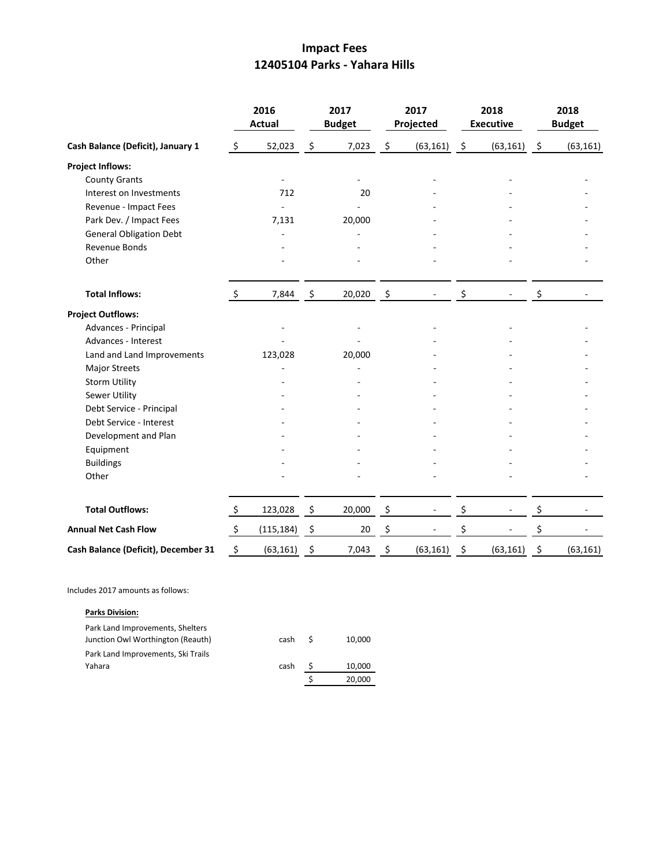### **Impact Fees 12405104 Parks - Yahara Hills**

|                                     |                | 2016<br><b>Actual</b> |                     | 2017<br><b>Budget</b> | 2017<br>Projected |                    | 2018<br><b>Executive</b> | 2018<br><b>Budget</b> |
|-------------------------------------|----------------|-----------------------|---------------------|-----------------------|-------------------|--------------------|--------------------------|-----------------------|
| Cash Balance (Deficit), January 1   | $\ddot{\zeta}$ | 52,023                | \$                  | 7,023                 | \$<br>(63, 161)   | $\ddot{\varsigma}$ | (63, 161)                | \$<br>(63, 161)       |
| <b>Project Inflows:</b>             |                |                       |                     |                       |                   |                    |                          |                       |
| <b>County Grants</b>                |                |                       |                     |                       |                   |                    |                          |                       |
| Interest on Investments             |                | 712                   |                     | 20                    |                   |                    |                          |                       |
| Revenue - Impact Fees               |                |                       |                     |                       |                   |                    |                          |                       |
| Park Dev. / Impact Fees             |                | 7,131                 |                     | 20,000                |                   |                    |                          |                       |
| <b>General Obligation Debt</b>      |                |                       |                     |                       |                   |                    |                          |                       |
| Revenue Bonds                       |                |                       |                     |                       |                   |                    |                          |                       |
| Other                               |                |                       |                     |                       |                   |                    |                          |                       |
| <b>Total Inflows:</b>               | $\mathsf{S}$   | 7,844                 | $\ddot{\mathsf{s}}$ | 20,020                | \$                | \$                 |                          | \$                    |
| <b>Project Outflows:</b>            |                |                       |                     |                       |                   |                    |                          |                       |
| Advances - Principal                |                |                       |                     |                       |                   |                    |                          |                       |
| Advances - Interest                 |                |                       |                     |                       |                   |                    |                          |                       |
| Land and Land Improvements          |                | 123,028               |                     | 20,000                |                   |                    |                          |                       |
| <b>Major Streets</b>                |                |                       |                     |                       |                   |                    |                          |                       |
| <b>Storm Utility</b>                |                |                       |                     |                       |                   |                    |                          |                       |
| Sewer Utility                       |                |                       |                     |                       |                   |                    |                          |                       |
| Debt Service - Principal            |                |                       |                     |                       |                   |                    |                          |                       |
| Debt Service - Interest             |                |                       |                     |                       |                   |                    |                          |                       |
| Development and Plan                |                |                       |                     |                       |                   |                    |                          |                       |
| Equipment                           |                |                       |                     |                       |                   |                    |                          |                       |
| <b>Buildings</b>                    |                |                       |                     |                       |                   |                    |                          |                       |
| Other                               |                |                       |                     |                       |                   |                    |                          |                       |
| <b>Total Outflows:</b>              | $\ddot{\zeta}$ | 123,028               | $\ddot{\varsigma}$  | 20,000                | \$                | \$                 |                          | \$                    |
| <b>Annual Net Cash Flow</b>         | $\zeta$        | (115, 184)            | \$                  | 20                    | \$                | \$                 |                          | \$                    |
| Cash Balance (Deficit), December 31 | \$             | (63, 161)             | \$                  | 7,043                 | \$<br>(63, 161)   | \$                 | (63, 161)                | \$<br>(63, 161)       |

Includes 2017 amounts as follows:

#### **Parks Division:**

| Park Land Improvements, Shelters   |      |    |        |
|------------------------------------|------|----|--------|
| Junction Owl Worthington (Reauth)  | cash | -S | 10,000 |
| Park Land Improvements, Ski Trails |      |    |        |
| Yahara                             | cash |    | 10,000 |
|                                    |      |    | 20,000 |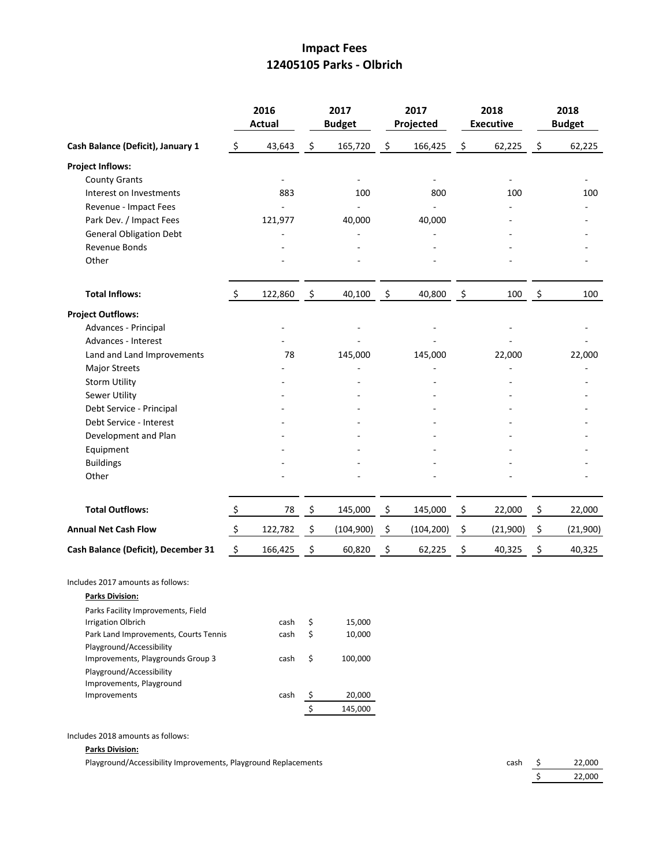## **Impact Fees 12405105 Parks - Olbrich**

|                                                                                                    |                           | 2016<br><b>Actual</b> |                    | 2017<br><b>Budget</b> |                | 2017<br>Projected |      | 2018<br><b>Executive</b> |      | 2018<br><b>Budget</b> |
|----------------------------------------------------------------------------------------------------|---------------------------|-----------------------|--------------------|-----------------------|----------------|-------------------|------|--------------------------|------|-----------------------|
| Cash Balance (Deficit), January 1                                                                  | \$                        | 43,643                | \$                 | 165,720               | \$             | 166,425           | \$   | 62,225                   | \$   | 62,225                |
| <b>Project Inflows:</b>                                                                            |                           |                       |                    |                       |                |                   |      |                          |      |                       |
| <b>County Grants</b>                                                                               |                           |                       |                    |                       |                |                   |      |                          |      |                       |
| Interest on Investments                                                                            |                           | 883                   |                    | 100                   |                | 800               |      | 100                      |      | 100                   |
| Revenue - Impact Fees                                                                              |                           |                       |                    |                       |                |                   |      |                          |      |                       |
| Park Dev. / Impact Fees                                                                            |                           | 121,977               |                    | 40,000                |                | 40,000            |      |                          |      |                       |
| <b>General Obligation Debt</b>                                                                     |                           |                       |                    |                       |                |                   |      |                          |      |                       |
| Revenue Bonds                                                                                      |                           |                       |                    |                       |                |                   |      |                          |      |                       |
| Other                                                                                              |                           |                       |                    |                       |                |                   |      |                          |      |                       |
| <b>Total Inflows:</b>                                                                              | $\ddot{\varsigma}$        | 122,860               | $\ddot{\varsigma}$ | 40,100                | $\ddot{\zeta}$ | 40,800            | - \$ | 100                      | - \$ | 100                   |
| <b>Project Outflows:</b>                                                                           |                           |                       |                    |                       |                |                   |      |                          |      |                       |
| Advances - Principal                                                                               |                           |                       |                    |                       |                |                   |      |                          |      |                       |
| Advances - Interest                                                                                |                           |                       |                    |                       |                |                   |      |                          |      |                       |
| Land and Land Improvements                                                                         |                           | 78                    |                    | 145,000               |                | 145,000           |      | 22,000                   |      | 22,000                |
| <b>Major Streets</b>                                                                               |                           |                       |                    |                       |                |                   |      |                          |      |                       |
| <b>Storm Utility</b>                                                                               |                           |                       |                    |                       |                |                   |      |                          |      |                       |
| Sewer Utility                                                                                      |                           |                       |                    |                       |                |                   |      |                          |      |                       |
| Debt Service - Principal                                                                           |                           |                       |                    |                       |                |                   |      |                          |      |                       |
| Debt Service - Interest                                                                            |                           |                       |                    |                       |                |                   |      |                          |      |                       |
| Development and Plan                                                                               |                           |                       |                    |                       |                |                   |      |                          |      |                       |
| Equipment                                                                                          |                           |                       |                    |                       |                |                   |      |                          |      |                       |
| <b>Buildings</b>                                                                                   |                           |                       |                    |                       |                |                   |      |                          |      |                       |
| Other                                                                                              |                           |                       |                    |                       |                |                   |      |                          |      |                       |
| <b>Total Outflows:</b>                                                                             | $\mathsf{S}$              | 78                    | \$                 | 145,000               | \$             | 145,000           | \$   | 22,000                   | \$   | 22,000                |
| <b>Annual Net Cash Flow</b>                                                                        | $\boldsymbol{\mathsf{S}}$ | 122,782               | \$                 | (104, 900)            | \$             | (104, 200)        | \$   | (21,900)                 | \$   | (21,900)              |
| Cash Balance (Deficit), December 31                                                                | \$                        | 166,425               | \$                 | 60,820                | \$             | 62,225            | \$   | 40,325                   | \$   | 40,325                |
| Includes 2017 amounts as follows:<br><u> Parks Division:</u><br>Parks Facility Improvements, Field |                           |                       |                    |                       |                |                   |      |                          |      |                       |
| <b>Irrigation Olbrich</b>                                                                          |                           | cash                  | \$                 | 15,000                |                |                   |      |                          |      |                       |
| Park Land Improvements, Courts Tennis<br>Playground/Accessibility                                  |                           | cash                  | \$                 | 10,000                |                |                   |      |                          |      |                       |
| Improvements, Playgrounds Group 3<br>Playground/Accessibility<br>Improvements, Playground          |                           | cash                  | \$                 | 100,000               |                |                   |      |                          |      |                       |
| Improvements                                                                                       |                           | cash                  | -Ş                 | 20,000                |                |                   |      |                          |      |                       |
|                                                                                                    |                           |                       | \$                 | 145,000               |                |                   |      |                          |      |                       |
|                                                                                                    |                           |                       |                    |                       |                |                   |      |                          |      |                       |

Includes 2018 amounts as follows:

#### **Parks Division:**

Playground/Accessibility Improvements, Playground Replacements

| cash | 22,000 |
|------|--------|
|      | 22,000 |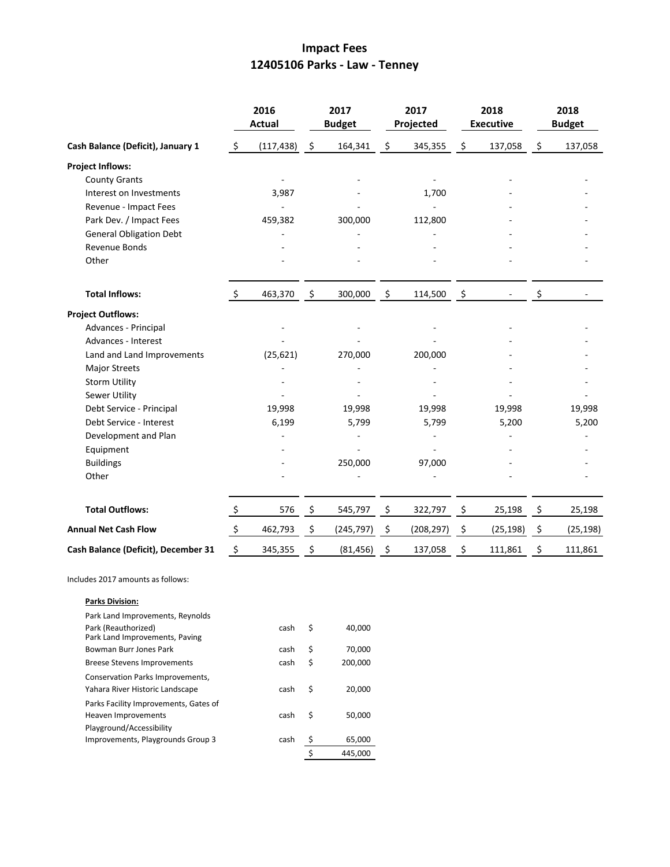## **Impact Fees 12405106 Parks - Law - Tenney**

|                                                                     |                | 2016<br><b>Actual</b> |      | 2017<br><b>Budget</b> |      | 2017<br>Projected | 2018<br><b>Executive</b> |           | 2018<br><b>Budget</b> |
|---------------------------------------------------------------------|----------------|-----------------------|------|-----------------------|------|-------------------|--------------------------|-----------|-----------------------|
| Cash Balance (Deficit), January 1                                   | \$             | (117, 438)            | \$   | 164,341               | \$   | 345,355           | \$                       | 137,058   | \$<br>137,058         |
| <b>Project Inflows:</b>                                             |                |                       |      |                       |      |                   |                          |           |                       |
| <b>County Grants</b>                                                |                |                       |      |                       |      |                   |                          |           |                       |
| Interest on Investments                                             |                | 3,987                 |      |                       |      | 1,700             |                          |           |                       |
| Revenue - Impact Fees                                               |                |                       |      |                       |      |                   |                          |           |                       |
| Park Dev. / Impact Fees                                             |                | 459,382               |      | 300,000               |      | 112,800           |                          |           |                       |
| <b>General Obligation Debt</b>                                      |                |                       |      |                       |      |                   |                          |           |                       |
| Revenue Bonds                                                       |                |                       |      |                       |      |                   |                          |           |                       |
| Other                                                               |                |                       |      |                       |      |                   |                          |           |                       |
| <b>Total Inflows:</b>                                               | $\ddot{\zeta}$ | 463,370               | - \$ | 300,000               | - \$ | 114,500           | - \$                     |           | \$                    |
| <b>Project Outflows:</b>                                            |                |                       |      |                       |      |                   |                          |           |                       |
| Advances - Principal                                                |                |                       |      |                       |      |                   |                          |           |                       |
| Advances - Interest                                                 |                |                       |      |                       |      |                   |                          |           |                       |
| Land and Land Improvements                                          |                | (25, 621)             |      | 270,000               |      | 200,000           |                          |           |                       |
| <b>Major Streets</b>                                                |                |                       |      |                       |      |                   |                          |           |                       |
| <b>Storm Utility</b>                                                |                |                       |      |                       |      |                   |                          |           |                       |
| Sewer Utility                                                       |                |                       |      |                       |      |                   |                          |           |                       |
| Debt Service - Principal                                            |                | 19,998                |      | 19,998                |      | 19,998            |                          | 19,998    | 19,998                |
| Debt Service - Interest                                             |                | 6,199                 |      | 5,799                 |      | 5,799             |                          | 5,200     | 5,200                 |
| Development and Plan                                                |                |                       |      |                       |      |                   |                          |           |                       |
| Equipment                                                           |                |                       |      |                       |      |                   |                          |           |                       |
| <b>Buildings</b>                                                    |                |                       |      | 250,000               |      | 97,000            |                          |           |                       |
| Other                                                               |                |                       |      |                       |      |                   |                          |           |                       |
| <b>Total Outflows:</b>                                              | \$             | 576                   | \$   | 545,797               | \$   | 322,797           | \$                       | 25,198    | \$<br>25,198          |
| <b>Annual Net Cash Flow</b>                                         | \$             | 462,793               | \$   | (245, 797)            | \$   | (208, 297)        | \$                       | (25, 198) | \$<br>(25, 198)       |
| Cash Balance (Deficit), December 31                                 | \$             | 345,355               | \$   | (81, 456)             | \$   | 137,058           | \$                       | 111,861   | \$<br>111,861         |
| Includes 2017 amounts as follows:                                   |                |                       |      |                       |      |                   |                          |           |                       |
| <b>Parks Division:</b>                                              |                |                       |      |                       |      |                   |                          |           |                       |
| Park Land Improvements, Reynolds                                    |                |                       |      |                       |      |                   |                          |           |                       |
| Park (Reauthorized)<br>Park Land Improvements, Paving               |                | cash                  | \$   | 40,000                |      |                   |                          |           |                       |
| Bowman Burr Jones Park                                              |                | cash                  | \$   | 70,000                |      |                   |                          |           |                       |
| <b>Breese Stevens Improvements</b>                                  |                | cash                  | \$   | 200,000               |      |                   |                          |           |                       |
| Conservation Parks Improvements,<br>Yahara River Historic Landscape |                | cash                  | \$   | 20,000                |      |                   |                          |           |                       |
| Parks Facility Improvements, Gates of                               |                |                       |      |                       |      |                   |                          |           |                       |

cash \$ 50,000

Playground/Accessibility

Heaven Improvements

Improvements, Playgrounds Group 3

cash \$ 65,000  $\frac{1}{5}$  445,000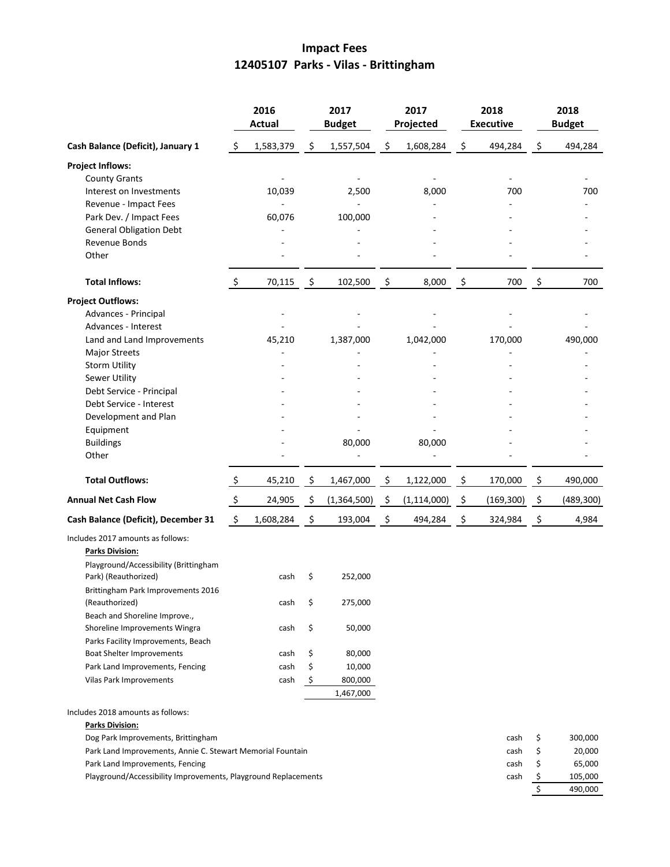# **Impact Fees 12405107 Parks - Vilas - Brittingham**

|                                                                |               | 2016<br><b>Actual</b> |      | 2017<br><b>Budget</b> |     | 2017<br>Projected |                    | 2018<br><b>Executive</b> | 2018<br><b>Budget</b> |           |
|----------------------------------------------------------------|---------------|-----------------------|------|-----------------------|-----|-------------------|--------------------|--------------------------|-----------------------|-----------|
| Cash Balance (Deficit), January 1                              | \$            | 1,583,379             | \$   | 1,557,504             | \$  | 1,608,284         | \$                 | 494,284                  | \$                    | 494,284   |
| <b>Project Inflows:</b>                                        |               |                       |      |                       |     |                   |                    |                          |                       |           |
| <b>County Grants</b>                                           |               |                       |      |                       |     |                   |                    |                          |                       |           |
| Interest on Investments                                        |               | 10,039                |      | 2,500                 |     | 8,000             |                    | 700                      |                       | 700       |
| Revenue - Impact Fees                                          |               |                       |      |                       |     |                   |                    |                          |                       |           |
| Park Dev. / Impact Fees                                        |               | 60,076                |      | 100,000               |     |                   |                    |                          |                       |           |
| <b>General Obligation Debt</b>                                 |               |                       |      |                       |     |                   |                    |                          |                       |           |
| Revenue Bonds                                                  |               |                       |      |                       |     |                   |                    |                          |                       |           |
| Other                                                          |               |                       |      |                       |     |                   |                    |                          |                       |           |
| <b>Total Inflows:</b>                                          | $\zeta$       | 70,115                | - \$ | 102,500               | \$  | 8,000             | \$                 | 700                      | \$                    | 700       |
| <b>Project Outflows:</b>                                       |               |                       |      |                       |     |                   |                    |                          |                       |           |
| Advances - Principal                                           |               |                       |      |                       |     |                   |                    |                          |                       |           |
| Advances - Interest                                            |               |                       |      |                       |     |                   |                    |                          |                       |           |
| Land and Land Improvements                                     |               | 45,210                |      | 1,387,000             |     | 1,042,000         |                    | 170,000                  |                       | 490,000   |
| <b>Major Streets</b>                                           |               |                       |      |                       |     |                   |                    |                          |                       |           |
| <b>Storm Utility</b>                                           |               |                       |      |                       |     |                   |                    |                          |                       |           |
| Sewer Utility                                                  |               |                       |      |                       |     |                   |                    |                          |                       |           |
| Debt Service - Principal                                       |               |                       |      |                       |     |                   |                    |                          |                       |           |
| Debt Service - Interest                                        |               |                       |      |                       |     |                   |                    |                          |                       |           |
| Development and Plan                                           |               |                       |      |                       |     |                   |                    |                          |                       |           |
| Equipment                                                      |               |                       |      |                       |     |                   |                    |                          |                       |           |
| <b>Buildings</b>                                               |               |                       |      | 80,000                |     | 80,000            |                    |                          |                       |           |
| Other                                                          |               |                       |      |                       |     |                   |                    |                          |                       |           |
| <b>Total Outflows:</b>                                         | $\frac{1}{2}$ | 45,210                | - \$ | 1,467,000             | \$  | 1,122,000         | \$                 | 170,000                  | \$                    | 490,000   |
| <b>Annual Net Cash Flow</b>                                    | $\frac{1}{2}$ | 24,905                | - \$ | (1,364,500)           | -\$ | (1, 114, 000)     | $\ddot{\varsigma}$ | (169, 300)               | - \$                  | (489,300) |
| Cash Balance (Deficit), December 31                            | \$            | 1,608,284             | \$   | 193,004               | \$  | 494,284           | \$                 | 324,984                  | \$                    | 4,984     |
| Includes 2017 amounts as follows:                              |               |                       |      |                       |     |                   |                    |                          |                       |           |
| <b>Parks Division:</b>                                         |               |                       |      |                       |     |                   |                    |                          |                       |           |
| Playground/Accessibility (Brittingham                          |               |                       |      |                       |     |                   |                    |                          |                       |           |
| Park) (Reauthorized)                                           |               | cash                  | \$   | 252,000               |     |                   |                    |                          |                       |           |
| Brittingham Park Improvements 2016                             |               |                       |      |                       |     |                   |                    |                          |                       |           |
| (Reauthorized)                                                 |               | cash                  | \$   | 275,000               |     |                   |                    |                          |                       |           |
| Beach and Shoreline Improve.,                                  |               |                       |      |                       |     |                   |                    |                          |                       |           |
| Shoreline Improvements Wingra                                  |               | cash                  | \$   | 50,000                |     |                   |                    |                          |                       |           |
| Parks Facility Improvements, Beach                             |               |                       |      |                       |     |                   |                    |                          |                       |           |
| Boat Shelter Improvements                                      |               | cash                  | \$   | 80,000                |     |                   |                    |                          |                       |           |
| Park Land Improvements, Fencing                                |               | cash                  | \$   | 10,000                |     |                   |                    |                          |                       |           |
| Vilas Park Improvements                                        |               | cash                  | \$   | 800,000               |     |                   |                    |                          |                       |           |
|                                                                |               |                       |      | 1,467,000             |     |                   |                    |                          |                       |           |
| Includes 2018 amounts as follows:                              |               |                       |      |                       |     |                   |                    |                          |                       |           |
| <b>Parks Division:</b>                                         |               |                       |      |                       |     |                   |                    |                          |                       |           |
| Dog Park Improvements, Brittingham                             |               |                       |      |                       |     |                   |                    | cash                     | \$                    | 300,000   |
| Park Land Improvements, Annie C. Stewart Memorial Fountain     |               |                       |      |                       |     |                   |                    | cash                     | \$                    | 20,000    |
| Park Land Improvements, Fencing                                |               |                       |      |                       |     |                   |                    | cash                     | \$                    | 65,000    |
| Playground/Accessibility Improvements, Playground Replacements |               |                       |      |                       |     |                   |                    | cash                     | \$                    | 105,000   |
|                                                                |               |                       |      |                       |     |                   |                    |                          | \$                    | 490,000   |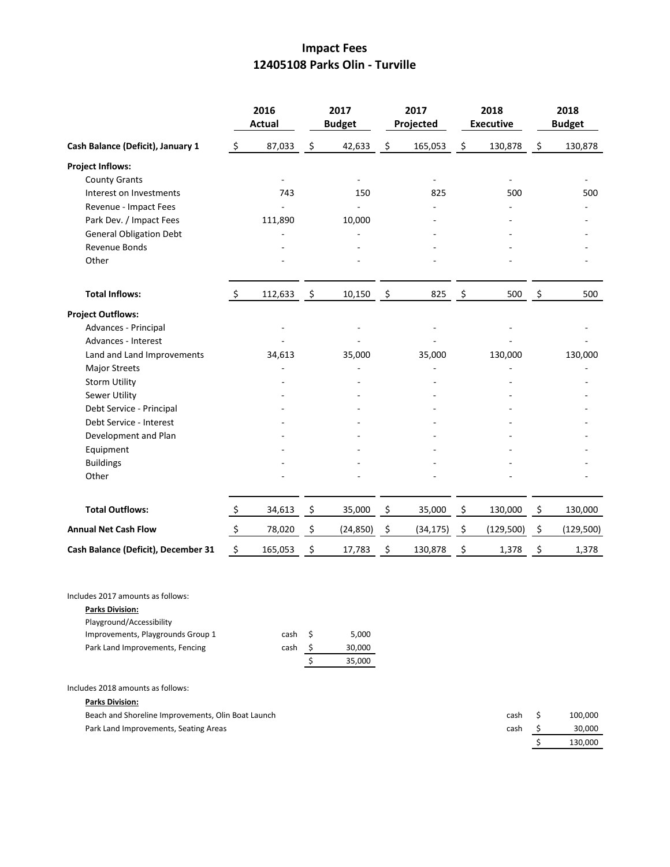## **Impact Fees 12405108 Parks Olin - Turville**

|                                     | 2016<br><b>Actual</b> |         |                    | 2017<br><b>Budget</b> |                    | 2017<br>Projected |         | 2018<br><b>Executive</b> | 2018<br><b>Budget</b> |           |  |
|-------------------------------------|-----------------------|---------|--------------------|-----------------------|--------------------|-------------------|---------|--------------------------|-----------------------|-----------|--|
| Cash Balance (Deficit), January 1   | $\ddot{\mathsf{S}}$   | 87,033  | \$                 | 42,633                | \$                 | 165,053           | \$      | 130,878                  | \$                    | 130,878   |  |
| <b>Project Inflows:</b>             |                       |         |                    |                       |                    |                   |         |                          |                       |           |  |
| <b>County Grants</b>                |                       |         |                    |                       |                    |                   |         |                          |                       |           |  |
| Interest on Investments             |                       | 743     |                    | 150                   |                    | 825               |         | 500                      |                       | 500       |  |
| Revenue - Impact Fees               |                       |         |                    |                       |                    |                   |         |                          |                       |           |  |
| Park Dev. / Impact Fees             |                       | 111,890 |                    | 10,000                |                    |                   |         |                          |                       |           |  |
| <b>General Obligation Debt</b>      |                       |         |                    |                       |                    |                   |         |                          |                       |           |  |
| Revenue Bonds                       |                       |         |                    |                       |                    |                   |         |                          |                       |           |  |
| Other                               |                       |         |                    |                       |                    |                   |         |                          |                       |           |  |
| <b>Total Inflows:</b>               | $\ddot{\varsigma}$    | 112,633 | \$                 | 10,150                | \$                 | 825               | $\zeta$ | 500                      | \$                    | 500       |  |
| <b>Project Outflows:</b>            |                       |         |                    |                       |                    |                   |         |                          |                       |           |  |
| Advances - Principal                |                       |         |                    |                       |                    |                   |         |                          |                       |           |  |
| Advances - Interest                 |                       |         |                    |                       |                    |                   |         |                          |                       |           |  |
| Land and Land Improvements          |                       | 34,613  |                    | 35,000                |                    | 35,000            |         | 130,000                  |                       | 130,000   |  |
| <b>Major Streets</b>                |                       |         |                    |                       |                    |                   |         |                          |                       |           |  |
| <b>Storm Utility</b>                |                       |         |                    |                       |                    |                   |         |                          |                       |           |  |
| <b>Sewer Utility</b>                |                       |         |                    |                       |                    |                   |         |                          |                       |           |  |
| Debt Service - Principal            |                       |         |                    |                       |                    |                   |         |                          |                       |           |  |
| Debt Service - Interest             |                       |         |                    |                       |                    |                   |         |                          |                       |           |  |
| Development and Plan                |                       |         |                    |                       |                    |                   |         |                          |                       |           |  |
| Equipment                           |                       |         |                    |                       |                    |                   |         |                          |                       |           |  |
| <b>Buildings</b>                    |                       |         |                    |                       |                    |                   |         |                          |                       |           |  |
| Other                               |                       |         |                    |                       |                    |                   |         |                          |                       |           |  |
| <b>Total Outflows:</b>              | $\ddot{\varsigma}$    | 34,613  | $\dot{\mathsf{S}}$ | 35,000                | \$                 | 35,000            | \$      | 130,000                  | \$                    | 130,000   |  |
| <b>Annual Net Cash Flow</b>         | $\zeta$               | 78,020  | $\ddot{\varsigma}$ | (24, 850)             | $\ddot{\varsigma}$ | (34, 175)         | \$      | (129,500)                | $\ddot{\varsigma}$    | (129,500) |  |
| Cash Balance (Deficit), December 31 | $\ddot{\varsigma}$    | 165,053 | \$                 | 17,783                | \$                 | 130,878           | \$      | 1,378                    | \$                    | 1,378     |  |
|                                     |                       |         |                    |                       |                    |                   |         |                          |                       |           |  |

Includes 2017 amounts as follows:

| <b>Parks Division:</b>            |      |     |        |
|-----------------------------------|------|-----|--------|
| Playground/Accessibility          |      |     |        |
| Improvements, Playgrounds Group 1 | cash | - S | 5.000  |
| Park Land Improvements, Fencing   | cash |     | 30,000 |
|                                   |      |     | 35,000 |

Includes 2018 amounts as follows:

**Parks Division:**

| Beach and Shoreline Improvements, Olin Boat Launch | cash S | 100.000 |
|----------------------------------------------------|--------|---------|
| Park Land Improvements, Seating Areas              | cash S | 30,000  |
|                                                    |        | 130.000 |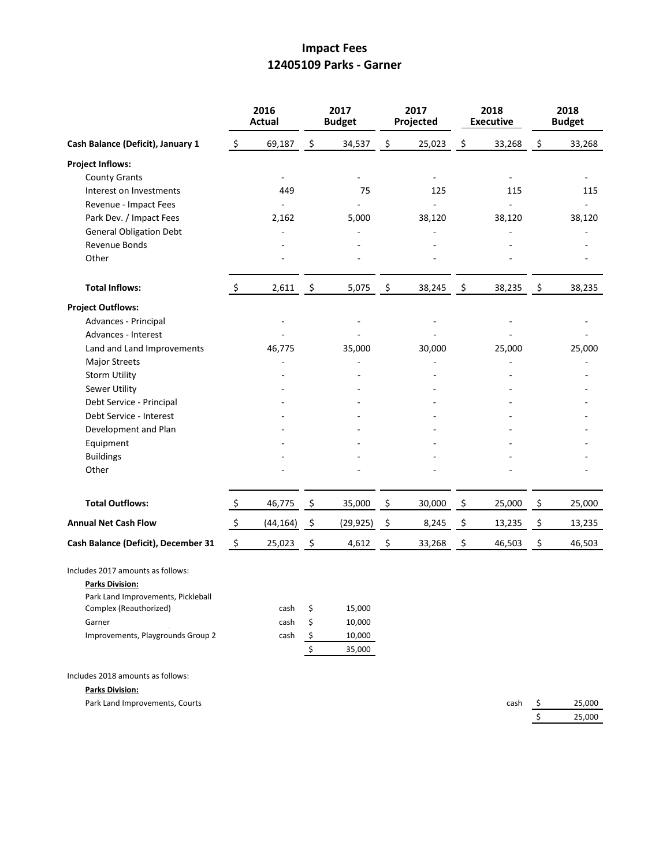## **Impact Fees 12405109 Parks - Garner**

|                                     | 2016<br><b>Actual</b> |           | 2017<br><b>Budget</b> |                  | 2017<br>Projected        | 2018<br><b>Executive</b> | 2018<br><b>Budget</b> |                          |
|-------------------------------------|-----------------------|-----------|-----------------------|------------------|--------------------------|--------------------------|-----------------------|--------------------------|
| Cash Balance (Deficit), January 1   | \$                    | 69,187    | \$                    | 34,537           | \$<br>25,023             | \$<br>33,268             | \$                    | 33,268                   |
| <b>Project Inflows:</b>             |                       |           |                       |                  |                          |                          |                       |                          |
| <b>County Grants</b>                |                       | ä,        |                       |                  |                          |                          |                       |                          |
| Interest on Investments             |                       | 449       |                       | 75               | 125                      | 115                      |                       | 115                      |
| Revenue - Impact Fees               |                       | $\bar{a}$ |                       | ÷                | $\overline{\phantom{a}}$ | ÷.                       |                       | $\overline{\phantom{0}}$ |
| Park Dev. / Impact Fees             |                       | 2,162     |                       | 5,000            | 38,120                   | 38,120                   |                       | 38,120                   |
| <b>General Obligation Debt</b>      |                       |           |                       |                  |                          |                          |                       |                          |
| Revenue Bonds                       |                       |           |                       |                  |                          |                          |                       |                          |
| Other                               |                       |           |                       |                  |                          |                          |                       |                          |
| <b>Total Inflows:</b>               | \$                    | 2,611     | \$                    | 5,075            | \$<br>38,245             | \$<br>38,235             | \$                    | 38,235                   |
| <b>Project Outflows:</b>            |                       |           |                       |                  |                          |                          |                       |                          |
| Advances - Principal                |                       |           |                       | ÷,               |                          |                          |                       |                          |
| Advances - Interest                 |                       |           |                       |                  |                          |                          |                       |                          |
| Land and Land Improvements          |                       | 46,775    |                       | 35,000           | 30,000                   | 25,000                   |                       | 25,000                   |
| <b>Major Streets</b>                |                       |           |                       |                  |                          |                          |                       |                          |
| <b>Storm Utility</b>                |                       |           |                       |                  |                          |                          |                       |                          |
| Sewer Utility                       |                       |           |                       |                  |                          |                          |                       |                          |
| Debt Service - Principal            |                       |           |                       |                  |                          |                          |                       |                          |
| Debt Service - Interest             |                       |           |                       |                  |                          |                          |                       |                          |
| Development and Plan                |                       |           |                       |                  |                          |                          |                       |                          |
| Equipment                           |                       |           |                       |                  |                          |                          |                       |                          |
| <b>Buildings</b>                    |                       |           |                       |                  |                          |                          |                       |                          |
| Other                               |                       |           |                       |                  |                          |                          |                       |                          |
| <b>Total Outflows:</b>              | $\ddot{\varsigma}$    | 46,775    | - \$                  | 35,000           | \$<br>30,000             | \$<br>25,000             | \$                    | 25,000                   |
| <b>Annual Net Cash Flow</b>         | $\ddot{\varsigma}$    | (44, 164) | - \$                  | (29, 925)        | \$<br>8,245              | \$<br>13,235             | \$                    | 13,235                   |
| Cash Balance (Deficit), December 31 | \$                    | 25,023    | $\ddot{\varsigma}$    | 4,612            | \$<br>33,268             | \$<br>46,503             | \$                    | 46,503                   |
| Includes 2017 amounts as follows:   |                       |           |                       |                  |                          |                          |                       |                          |
| <b>Parks Division:</b>              |                       |           |                       |                  |                          |                          |                       |                          |
| Park Land Improvements, Pickleball  |                       |           |                       |                  |                          |                          |                       |                          |
| Complex (Reauthorized)              |                       | cash      | \$                    | 15,000           |                          |                          |                       |                          |
| Garner                              |                       | cash      | \$                    | 10,000           |                          |                          |                       |                          |
| Improvements, Playgrounds Group 2   |                       | cash      | $\frac{1}{2}$<br>\$   | 10,000<br>35,000 |                          |                          |                       |                          |
| Includes 2018 amounts as follows:   |                       |           |                       |                  |                          |                          |                       |                          |
| <b>Parks Division:</b>              |                       |           |                       |                  |                          |                          |                       |                          |
| Park Land Improvements, Courts      |                       |           |                       |                  |                          | cash                     | \$                    | 25,000                   |

 $$ 25,000$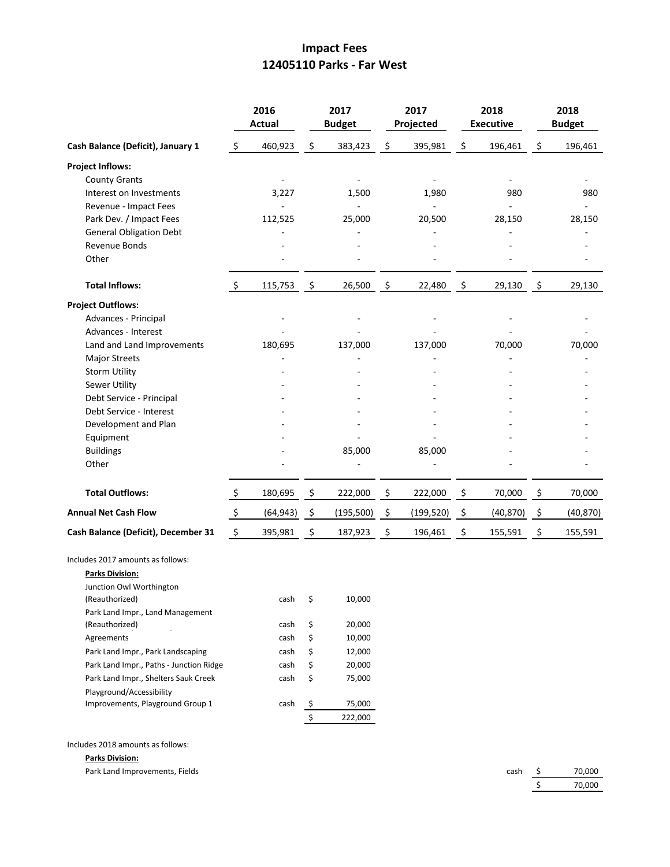### **Impact Fees 12405110 Parks - Far West**

|                                                                                                                                                                                                                                                                                                                                                                       | 2016<br>Actual |                                                      | 2017<br><b>Budget</b>                                                               |                                                                               | 2017<br>Projected                  | 2018<br><b>Executive</b> | 2018<br><b>Budget</b> |                  |  |
|-----------------------------------------------------------------------------------------------------------------------------------------------------------------------------------------------------------------------------------------------------------------------------------------------------------------------------------------------------------------------|----------------|------------------------------------------------------|-------------------------------------------------------------------------------------|-------------------------------------------------------------------------------|------------------------------------|--------------------------|-----------------------|------------------|--|
| Cash Balance (Deficit), January 1                                                                                                                                                                                                                                                                                                                                     | \$             | 460,923                                              | $\ddot{\varsigma}$                                                                  | 383,423                                                                       | \$<br>395,981                      | \$<br>196,461            | \$                    | 196,461          |  |
| <b>Project Inflows:</b><br><b>County Grants</b><br>Interest on Investments                                                                                                                                                                                                                                                                                            |                | 3,227                                                |                                                                                     | 1,500                                                                         | 1,980                              | 980                      |                       | 980              |  |
| Revenue - Impact Fees<br>Park Dev. / Impact Fees<br><b>General Obligation Debt</b><br>Revenue Bonds<br>Other                                                                                                                                                                                                                                                          |                | 112,525                                              |                                                                                     | 25,000                                                                        | 20,500                             | 28,150                   |                       | 28,150           |  |
| <b>Total Inflows:</b>                                                                                                                                                                                                                                                                                                                                                 | $\ddot{\phi}$  | 115,753                                              | $\ddot{\varsigma}$                                                                  | 26,500                                                                        | \$<br>22,480                       | \$<br>29,130             | \$                    | 29,130           |  |
| <b>Project Outflows:</b><br>Advances - Principal<br>Advances - Interest<br>Land and Land Improvements<br><b>Major Streets</b><br><b>Storm Utility</b><br>Sewer Utility<br>Debt Service - Principal<br>Debt Service - Interest<br>Development and Plan<br>Equipment<br><b>Buildings</b><br>Other<br><b>Total Outflows:</b>                                             | \$             | 180,695<br>180,695                                   | \$                                                                                  | 137,000<br>85,000<br>222,000                                                  | \$<br>137,000<br>85,000<br>222,000 | \$<br>70,000<br>70,000   | \$                    | 70,000<br>70,000 |  |
| <b>Annual Net Cash Flow</b>                                                                                                                                                                                                                                                                                                                                           | \$             | (64, 943)                                            | $\ddot{\mathsf{S}}$                                                                 | (195, 500)                                                                    | \$<br>(199, 520)                   | \$<br>(40, 870)          | \$                    | (40, 870)        |  |
| Cash Balance (Deficit), December 31                                                                                                                                                                                                                                                                                                                                   | $\ddot{\phi}$  | 395,981                                              | - \$                                                                                | 187,923                                                                       | \$<br>196,461                      | \$<br>155,591            | $\ddot{\varsigma}$    | 155,591          |  |
| Includes 2017 amounts as follows:<br><b>Parks Division:</b><br>Junction Owl Worthington<br>(Reauthorized)<br>Park Land Impr., Land Management<br>(Reauthorized)<br>Agreements<br>Park Land Impr., Park Landscaping<br>Park Land Impr., Paths - Junction Ridge<br>Park Land Impr., Shelters Sauk Creek<br>Playground/Accessibility<br>Improvements, Playground Group 1 |                | cash<br>cash<br>cash<br>cash<br>cash<br>cash<br>cash | Ş<br>\$<br>\$<br>\$<br>\$<br>\$<br>$\frac{1}{2}$<br>$\boldsymbol{\mathsf{\dot{S}}}$ | 10,000<br>20,000<br>10,000<br>12,000<br>20,000<br>75,000<br>75,000<br>222,000 |                                    |                          |                       |                  |  |

Includes 2018 amounts as follows:

#### **Parks Division:**

Park Land Improvements, Fields

| cash | 70,000 |
|------|--------|
|      | 70,000 |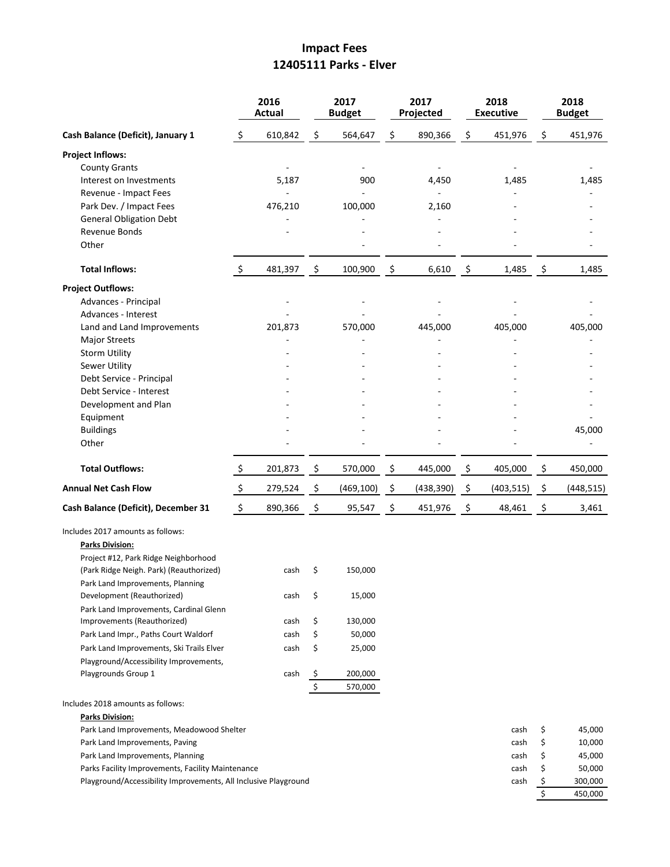### **Impact Fees 12405111 Parks - Elver**

|                                                                 | 2016<br>Actual     |         | 2017<br><b>Budget</b> |            | 2017<br>Projected |                    | 2018<br><b>Executive</b> | 2018<br><b>Budget</b> |            |
|-----------------------------------------------------------------|--------------------|---------|-----------------------|------------|-------------------|--------------------|--------------------------|-----------------------|------------|
| Cash Balance (Deficit), January 1                               | $\varsigma$        | 610,842 | \$                    | 564,647    | \$<br>890,366     | \$                 | 451,976                  | \$                    | 451,976    |
| <b>Project Inflows:</b>                                         |                    |         |                       |            |                   |                    |                          |                       |            |
| <b>County Grants</b>                                            |                    |         |                       |            |                   |                    |                          |                       |            |
| Interest on Investments                                         |                    | 5,187   |                       | 900        | 4,450             |                    | 1,485                    |                       | 1,485      |
| Revenue - Impact Fees                                           |                    |         |                       |            |                   |                    |                          |                       |            |
| Park Dev. / Impact Fees                                         |                    | 476,210 |                       | 100,000    | 2,160             |                    |                          |                       |            |
| <b>General Obligation Debt</b>                                  |                    |         |                       |            |                   |                    |                          |                       |            |
| Revenue Bonds<br>Other                                          |                    |         |                       |            |                   |                    |                          |                       |            |
| <b>Total Inflows:</b>                                           | \$                 | 481,397 | \$                    | 100,900    | \$<br>6,610       | \$                 | 1,485                    | $\zeta$               | 1,485      |
| <b>Project Outflows:</b>                                        |                    |         |                       |            |                   |                    |                          |                       |            |
| Advances - Principal                                            |                    |         |                       |            |                   |                    |                          |                       |            |
| Advances - Interest                                             |                    |         |                       |            |                   |                    |                          |                       |            |
| Land and Land Improvements                                      |                    | 201,873 |                       | 570,000    | 445,000           |                    | 405,000                  |                       | 405,000    |
| <b>Major Streets</b>                                            |                    |         |                       |            |                   |                    |                          |                       |            |
| <b>Storm Utility</b>                                            |                    |         |                       |            |                   |                    |                          |                       |            |
| <b>Sewer Utility</b>                                            |                    |         |                       |            |                   |                    |                          |                       |            |
| Debt Service - Principal                                        |                    |         |                       |            |                   |                    |                          |                       |            |
| Debt Service - Interest<br>Development and Plan                 |                    |         |                       |            |                   |                    |                          |                       |            |
| Equipment                                                       |                    |         |                       |            |                   |                    |                          |                       |            |
| <b>Buildings</b>                                                |                    |         |                       |            |                   |                    |                          |                       | 45,000     |
| Other                                                           |                    |         |                       |            |                   |                    |                          |                       |            |
|                                                                 |                    |         |                       |            |                   |                    |                          |                       |            |
| <b>Total Outflows:</b>                                          | \$                 | 201,873 | \$                    | 570,000    | \$<br>445,000     | \$                 | 405,000                  | \$                    | 450,000    |
| <b>Annual Net Cash Flow</b>                                     | $\ddot{\varsigma}$ | 279,524 | \$                    | (469, 100) | \$<br>(438, 390)  | $\ddot{\varsigma}$ | (403, 515)               | - \$                  | (448, 515) |
| Cash Balance (Deficit), December 31                             | $\ddot{\varsigma}$ | 890,366 | \$                    | 95,547     | \$<br>451,976     | \$                 | 48,461                   | $\ddot{\mathsf{S}}$   | 3,461      |
| Includes 2017 amounts as follows:<br><b>Parks Division:</b>     |                    |         |                       |            |                   |                    |                          |                       |            |
| Project #12, Park Ridge Neighborhood                            |                    |         |                       |            |                   |                    |                          |                       |            |
| (Park Ridge Neigh. Park) (Reauthorized)                         |                    | cash    | \$                    | 150,000    |                   |                    |                          |                       |            |
| Park Land Improvements, Planning<br>Development (Reauthorized)  |                    | cash    | \$                    | 15,000     |                   |                    |                          |                       |            |
| Park Land Improvements, Cardinal Glenn                          |                    |         |                       |            |                   |                    |                          |                       |            |
| Improvements (Reauthorized)                                     |                    | cash    | \$                    | 130,000    |                   |                    |                          |                       |            |
| Park Land Impr., Paths Court Waldorf                            |                    | cash    | \$                    | 50,000     |                   |                    |                          |                       |            |
| Park Land Improvements, Ski Trails Elver                        |                    | cash    | \$                    | 25,000     |                   |                    |                          |                       |            |
| Playground/Accessibility Improvements,                          |                    |         |                       |            |                   |                    |                          |                       |            |
| Playgrounds Group 1                                             |                    | cash    | \$                    | 200,000    |                   |                    |                          |                       |            |
|                                                                 |                    |         | \$                    | 570,000    |                   |                    |                          |                       |            |
| Includes 2018 amounts as follows:                               |                    |         |                       |            |                   |                    |                          |                       |            |
| <b>Parks Division:</b>                                          |                    |         |                       |            |                   |                    |                          |                       |            |
| Park Land Improvements, Meadowood Shelter                       |                    |         |                       |            |                   |                    | cash                     | \$                    | 45,000     |
| Park Land Improvements, Paving                                  |                    |         |                       |            |                   |                    | cash                     | \$                    | 10,000     |
| Park Land Improvements, Planning                                |                    |         |                       |            |                   |                    | cash                     | \$                    | 45,000     |
| Parks Facility Improvements, Facility Maintenance               |                    |         |                       |            |                   |                    | cash                     | \$                    | 50,000     |
| Playground/Accessibility Improvements, All Inclusive Playground |                    |         |                       |            |                   |                    | cash                     | \$                    | 300,000    |
|                                                                 |                    |         |                       |            |                   |                    |                          | \$                    | 450,000    |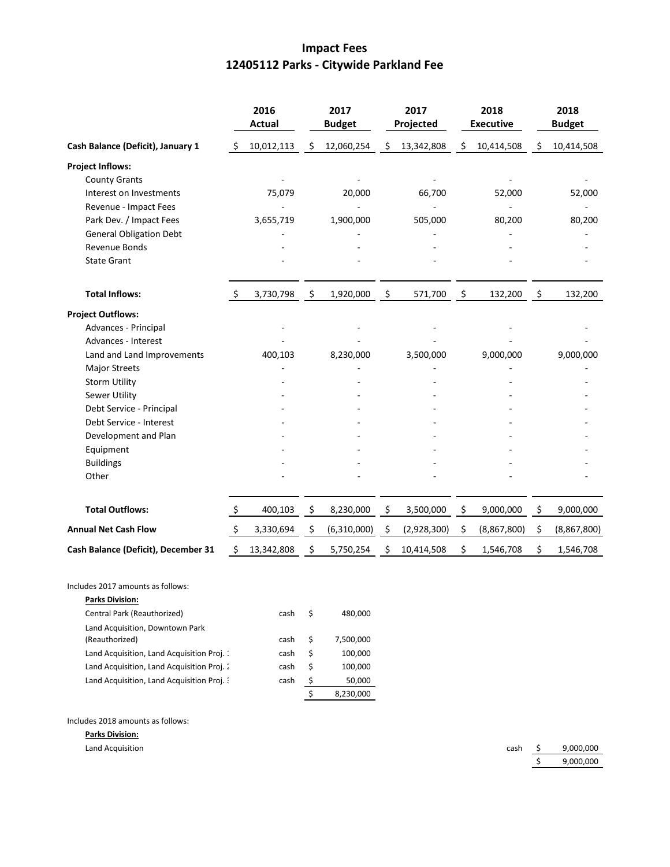## **Impact Fees 12405112 Parks - Citywide Parkland Fee**

|                                     | 2016<br><b>Actual</b> |            | 2017<br><b>Budget</b> |             |    | 2017<br>Projected |                | 2018<br><b>Executive</b> | 2018<br><b>Budget</b> |             |
|-------------------------------------|-----------------------|------------|-----------------------|-------------|----|-------------------|----------------|--------------------------|-----------------------|-------------|
| Cash Balance (Deficit), January 1   | \$                    | 10,012,113 | \$                    | 12,060,254  | \$ | 13,342,808        | \$             | 10,414,508               | \$                    | 10,414,508  |
| <b>Project Inflows:</b>             |                       |            |                       |             |    |                   |                |                          |                       |             |
| <b>County Grants</b>                |                       |            |                       |             |    |                   |                |                          |                       |             |
| Interest on Investments             |                       | 75,079     |                       | 20,000      |    | 66,700            |                | 52,000                   |                       | 52,000      |
| Revenue - Impact Fees               |                       |            |                       |             |    |                   |                |                          |                       |             |
| Park Dev. / Impact Fees             |                       | 3,655,719  |                       | 1,900,000   |    | 505,000           |                | 80,200                   |                       | 80,200      |
| <b>General Obligation Debt</b>      |                       |            |                       |             |    |                   |                |                          |                       |             |
| Revenue Bonds                       |                       |            |                       |             |    |                   |                |                          |                       |             |
| <b>State Grant</b>                  |                       |            |                       |             |    |                   |                |                          |                       |             |
| <b>Total Inflows:</b>               | -S                    | 3,730,798  | $\mathfrak{S}$        | 1,920,000   | \$ | 571,700           | $\mathfrak{S}$ | 132,200                  | $\ddot{\varsigma}$    | 132,200     |
| <b>Project Outflows:</b>            |                       |            |                       |             |    |                   |                |                          |                       |             |
| Advances - Principal                |                       |            |                       |             |    |                   |                |                          |                       |             |
| Advances - Interest                 |                       |            |                       |             |    |                   |                |                          |                       |             |
| Land and Land Improvements          |                       | 400,103    |                       | 8,230,000   |    | 3,500,000         |                | 9,000,000                |                       | 9,000,000   |
| <b>Major Streets</b>                |                       |            |                       |             |    |                   |                |                          |                       |             |
| <b>Storm Utility</b>                |                       |            |                       |             |    |                   |                |                          |                       |             |
| Sewer Utility                       |                       |            |                       |             |    |                   |                |                          |                       |             |
| Debt Service - Principal            |                       |            |                       |             |    |                   |                |                          |                       |             |
| Debt Service - Interest             |                       |            |                       |             |    |                   |                |                          |                       |             |
| Development and Plan                |                       |            |                       |             |    |                   |                |                          |                       |             |
| Equipment                           |                       |            |                       |             |    |                   |                |                          |                       |             |
| <b>Buildings</b>                    |                       |            |                       |             |    |                   |                |                          |                       |             |
| Other                               |                       |            |                       |             |    |                   |                |                          |                       |             |
| <b>Total Outflows:</b>              | \$                    | 400,103    | \$                    | 8,230,000   | \$ | 3,500,000         | \$             | 9,000,000                | \$                    | 9,000,000   |
| <b>Annual Net Cash Flow</b>         | $\ddot{\varsigma}$    | 3,330,694  | - \$                  | (6,310,000) | \$ | (2,928,300)       | \$             | (8,867,800)              | \$                    | (8,867,800) |
| Cash Balance (Deficit), December 31 | \$                    | 13,342,808 | \$                    | 5,750,254   | \$ | 10,414,508        | \$             | 1,546,708                | \$                    | 1,546,708   |

Includes 2017 amounts as follows:

| <b>Parks Division:</b>                     |      |    |           |
|--------------------------------------------|------|----|-----------|
| Central Park (Reauthorized)                | cash | Ś  | 480.000   |
| Land Acquisition, Downtown Park            |      |    |           |
| (Reauthorized)                             | cash | \$ | 7.500.000 |
| Land Acquisition, Land Acquisition Proj. 1 | cash | \$ | 100,000   |
| Land Acquisition, Land Acquisition Proj. 2 | cash | \$ | 100,000   |
| Land Acquisition, Land Acquisition Proj. 3 | cash | \$ | 50,000    |
|                                            |      | ς  | 8,230,000 |
|                                            |      |    |           |

Includes 2018 amounts as follows:

**Parks Division:**

Land Acquisition **cash**  $\zeta$  9,000,000 \$ 9,000,000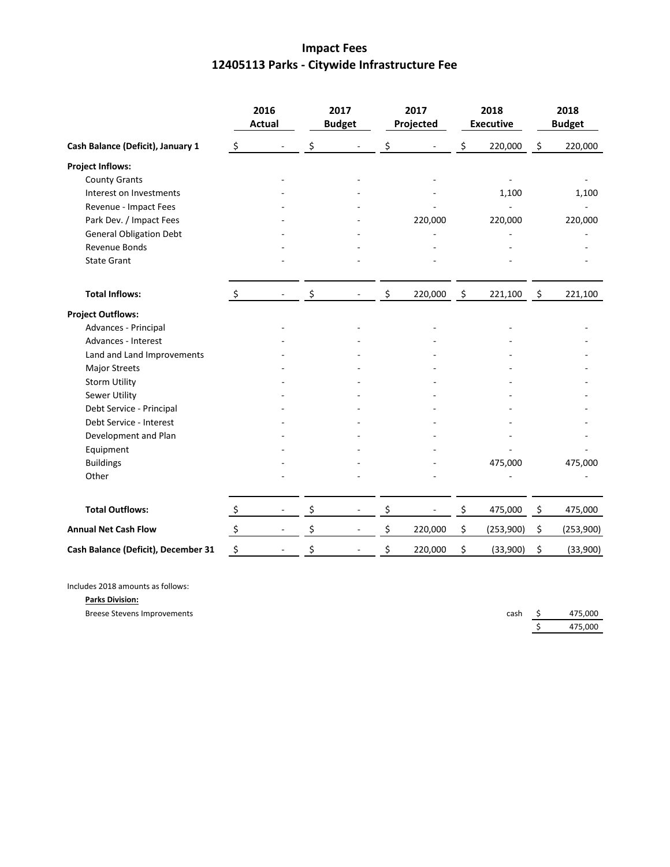# **Impact Fees 12405113 Parks - Citywide Infrastructure Fee**

|                                     | 2016<br><b>Actual</b>     |                          | 2017<br><b>Budget</b> |    | 2017<br>Projected |                     | 2018<br><b>Executive</b> | 2018<br><b>Budget</b> |           |
|-------------------------------------|---------------------------|--------------------------|-----------------------|----|-------------------|---------------------|--------------------------|-----------------------|-----------|
| Cash Balance (Deficit), January 1   | $\zeta$                   |                          | \$                    | \$ |                   | \$                  | 220,000                  | \$                    | 220,000   |
| <b>Project Inflows:</b>             |                           |                          |                       |    |                   |                     |                          |                       |           |
| <b>County Grants</b>                |                           |                          |                       |    |                   |                     |                          |                       |           |
| Interest on Investments             |                           |                          |                       |    |                   |                     | 1,100                    |                       | 1,100     |
| Revenue - Impact Fees               |                           |                          |                       |    |                   |                     |                          |                       |           |
| Park Dev. / Impact Fees             |                           |                          |                       |    | 220,000           |                     | 220,000                  |                       | 220,000   |
| <b>General Obligation Debt</b>      |                           |                          |                       |    |                   |                     |                          |                       |           |
| Revenue Bonds                       |                           |                          |                       |    |                   |                     |                          |                       |           |
| <b>State Grant</b>                  |                           |                          |                       |    |                   |                     |                          |                       |           |
| <b>Total Inflows:</b>               | $\ddot{\mathsf{S}}$       |                          | \$                    | \$ | 220,000           | $\ddot{\mathsf{s}}$ | 221,100                  | $\ddot{\mathsf{s}}$   | 221,100   |
| <b>Project Outflows:</b>            |                           |                          |                       |    |                   |                     |                          |                       |           |
| Advances - Principal                |                           |                          |                       |    |                   |                     |                          |                       |           |
| Advances - Interest                 |                           |                          |                       |    |                   |                     |                          |                       |           |
| Land and Land Improvements          |                           |                          |                       |    |                   |                     |                          |                       |           |
| <b>Major Streets</b>                |                           |                          |                       |    |                   |                     |                          |                       |           |
| <b>Storm Utility</b>                |                           |                          |                       |    |                   |                     |                          |                       |           |
| <b>Sewer Utility</b>                |                           |                          |                       |    |                   |                     |                          |                       |           |
| Debt Service - Principal            |                           |                          |                       |    |                   |                     |                          |                       |           |
| Debt Service - Interest             |                           |                          |                       |    |                   |                     |                          |                       |           |
| Development and Plan                |                           |                          |                       |    |                   |                     |                          |                       |           |
| Equipment                           |                           |                          |                       |    |                   |                     |                          |                       |           |
| <b>Buildings</b>                    |                           |                          |                       |    |                   |                     | 475,000                  |                       | 475,000   |
| Other                               |                           |                          |                       |    |                   |                     |                          |                       |           |
| <b>Total Outflows:</b>              | $\boldsymbol{\mathsf{S}}$ |                          | \$                    | \$ |                   | \$                  | 475,000                  | \$                    | 475,000   |
| <b>Annual Net Cash Flow</b>         | $\zeta$                   | $\overline{\phantom{a}}$ | \$                    | \$ | 220,000           | \$                  | (253,900)                | \$                    | (253,900) |
| Cash Balance (Deficit), December 31 | \$                        |                          | \$                    | \$ | 220,000           | \$                  | (33,900)                 | \$                    | (33,900)  |

Includes 2018 amounts as follows:

**Parks Division:**

Breese Stevens Improvements

| cash | 475,000 |
|------|---------|
|      | 475,000 |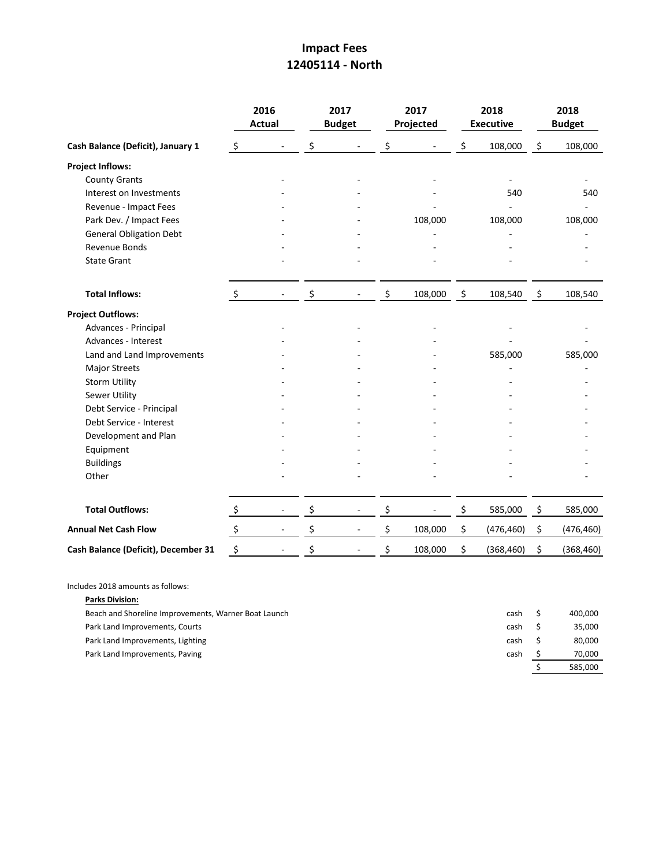## **Impact Fees 12405114 - North**

|                                     |                           | 2016<br><b>Actual</b>    | 2017<br><b>Budget</b> | 2017<br>Projected |                | 2018<br><b>Executive</b> | 2018<br><b>Budget</b> |            |  |
|-------------------------------------|---------------------------|--------------------------|-----------------------|-------------------|----------------|--------------------------|-----------------------|------------|--|
| Cash Balance (Deficit), January 1   | \$                        |                          | \$                    | \$                | \$             | 108,000                  | \$                    | 108,000    |  |
| <b>Project Inflows:</b>             |                           |                          |                       |                   |                |                          |                       |            |  |
| <b>County Grants</b>                |                           |                          |                       |                   |                |                          |                       |            |  |
| Interest on Investments             |                           |                          |                       |                   |                | 540                      |                       | 540        |  |
| Revenue - Impact Fees               |                           |                          |                       |                   |                |                          |                       |            |  |
| Park Dev. / Impact Fees             |                           |                          |                       | 108,000           |                | 108,000                  |                       | 108,000    |  |
| <b>General Obligation Debt</b>      |                           |                          |                       |                   |                |                          |                       |            |  |
| Revenue Bonds                       |                           |                          |                       |                   |                |                          |                       |            |  |
| <b>State Grant</b>                  |                           |                          |                       |                   |                |                          |                       |            |  |
| <b>Total Inflows:</b>               | $\ddot{\varsigma}$        |                          | \$                    | \$<br>108,000     | $\ddot{\zeta}$ | 108,540                  | $\ddot{\varsigma}$    | 108,540    |  |
| <b>Project Outflows:</b>            |                           |                          |                       |                   |                |                          |                       |            |  |
| Advances - Principal                |                           |                          |                       |                   |                |                          |                       |            |  |
| Advances - Interest                 |                           |                          |                       |                   |                |                          |                       |            |  |
| Land and Land Improvements          |                           |                          |                       |                   |                | 585,000                  |                       | 585,000    |  |
| <b>Major Streets</b>                |                           |                          |                       |                   |                |                          |                       |            |  |
| <b>Storm Utility</b>                |                           |                          |                       |                   |                |                          |                       |            |  |
| <b>Sewer Utility</b>                |                           |                          |                       |                   |                |                          |                       |            |  |
| Debt Service - Principal            |                           |                          |                       |                   |                |                          |                       |            |  |
| Debt Service - Interest             |                           |                          |                       |                   |                |                          |                       |            |  |
| Development and Plan                |                           |                          |                       |                   |                |                          |                       |            |  |
| Equipment                           |                           |                          |                       |                   |                |                          |                       |            |  |
| <b>Buildings</b>                    |                           |                          |                       |                   |                |                          |                       |            |  |
| Other                               |                           |                          |                       |                   |                |                          |                       |            |  |
| <b>Total Outflows:</b>              | $\boldsymbol{\mathsf{S}}$ | $\overline{\phantom{a}}$ | \$                    | \$                | \$             | 585,000                  | \$                    | 585,000    |  |
| <b>Annual Net Cash Flow</b>         | $\zeta$                   |                          | \$                    | \$<br>108,000     | \$             | (476, 460)               | \$                    | (476, 460) |  |
| Cash Balance (Deficit), December 31 | \$                        |                          | \$                    | \$<br>108,000     | \$             | (368, 460)               | \$                    | (368, 460) |  |

Includes 2018 amounts as follows:

**Parks Division:**

Beach and Shoreline Improvements, Warner Boat Launch cash cash \$ 400,000 Park Land Improvements, Courts cash \$ 35,000 Park Land Improvements, Lighting cash \$ 80,000 Park Land Improvements, Paving cash 5 70,000  $\frac{1}{5}$  585,000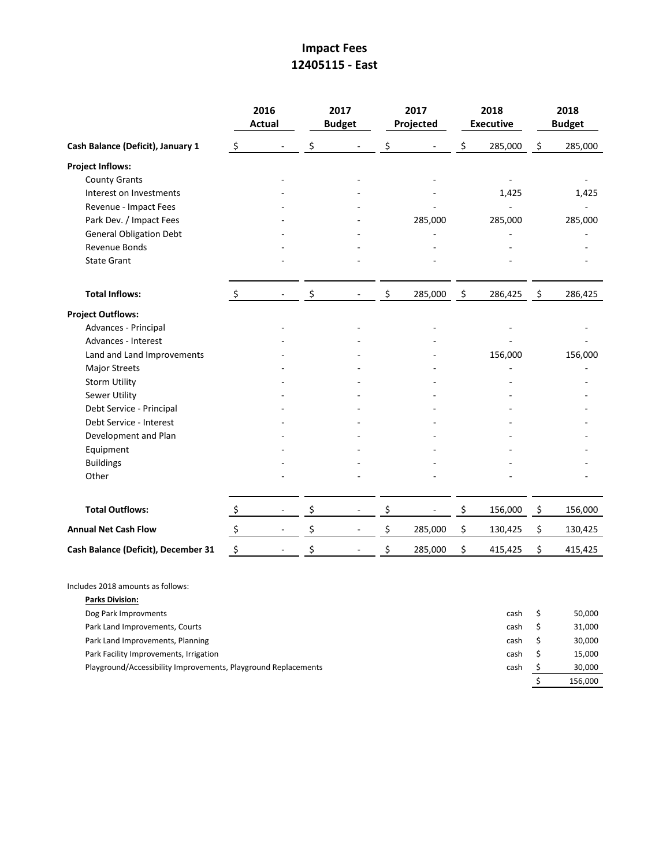# **Impact Fees 12405115 - East**

|                                     |                      | 2016<br><b>Actual</b>    | 2017<br><b>Budget</b> | 2017<br>Projected | 2018<br><b>Executive</b> |                    | 2018<br><b>Budget</b> |
|-------------------------------------|----------------------|--------------------------|-----------------------|-------------------|--------------------------|--------------------|-----------------------|
| Cash Balance (Deficit), January 1   | $\zeta$              |                          | \$                    | \$                | \$<br>285,000            | \$                 | 285,000               |
| <b>Project Inflows:</b>             |                      |                          |                       |                   |                          |                    |                       |
| <b>County Grants</b>                |                      |                          |                       |                   |                          |                    |                       |
| Interest on Investments             |                      |                          |                       |                   | 1,425                    |                    | 1,425                 |
| Revenue - Impact Fees               |                      |                          |                       |                   |                          |                    |                       |
| Park Dev. / Impact Fees             |                      |                          |                       | 285,000           | 285,000                  |                    | 285,000               |
| <b>General Obligation Debt</b>      |                      |                          |                       |                   |                          |                    |                       |
| Revenue Bonds                       |                      |                          |                       |                   |                          |                    |                       |
| <b>State Grant</b>                  |                      |                          |                       |                   |                          |                    |                       |
| <b>Total Inflows:</b>               | $\ddot{\varsigma}$   | $\overline{\phantom{a}}$ | \$                    | \$<br>285,000     | \$<br>286,425            | $\ddot{\varsigma}$ | 286,425               |
| <b>Project Outflows:</b>            |                      |                          |                       |                   |                          |                    |                       |
| Advances - Principal                |                      |                          |                       |                   |                          |                    |                       |
| Advances - Interest                 |                      |                          |                       |                   |                          |                    |                       |
| Land and Land Improvements          |                      |                          |                       |                   | 156,000                  |                    | 156,000               |
| <b>Major Streets</b>                |                      |                          |                       |                   |                          |                    |                       |
| <b>Storm Utility</b>                |                      |                          |                       |                   |                          |                    |                       |
| Sewer Utility                       |                      |                          |                       |                   |                          |                    |                       |
| Debt Service - Principal            |                      |                          |                       |                   |                          |                    |                       |
| Debt Service - Interest             |                      |                          |                       |                   |                          |                    |                       |
| Development and Plan                |                      |                          |                       |                   |                          |                    |                       |
| Equipment                           |                      |                          |                       |                   |                          |                    |                       |
| <b>Buildings</b>                    |                      |                          |                       |                   |                          |                    |                       |
| Other                               |                      |                          |                       |                   |                          |                    |                       |
| <b>Total Outflows:</b>              | $\zeta$              | $\overline{\phantom{a}}$ | \$                    | \$                | \$<br>156,000            | \$                 | 156,000               |
| <b>Annual Net Cash Flow</b>         | $\boldsymbol{\zeta}$ | $\overline{\phantom{a}}$ | \$                    | \$<br>285,000     | \$<br>130,425            | \$                 | 130,425               |
| Cash Balance (Deficit), December 31 | $\ddot{\varsigma}$   |                          | \$                    | \$<br>285,000     | \$<br>415,425            | \$                 | 415,425               |

Includes 2018 amounts as follows:

| <b>Parks Division:</b>                                                 |         |
|------------------------------------------------------------------------|---------|
| Dog Park Improvments<br>cash                                           | 50,000  |
| Park Land Improvements, Courts<br>cash                                 | 31,000  |
| Park Land Improvements, Planning<br>cash                               | 30,000  |
| Park Facility Improvements, Irrigation<br>cash                         | 15,000  |
| Playground/Accessibility Improvements, Playground Replacements<br>cash | 30,000  |
|                                                                        | 156,000 |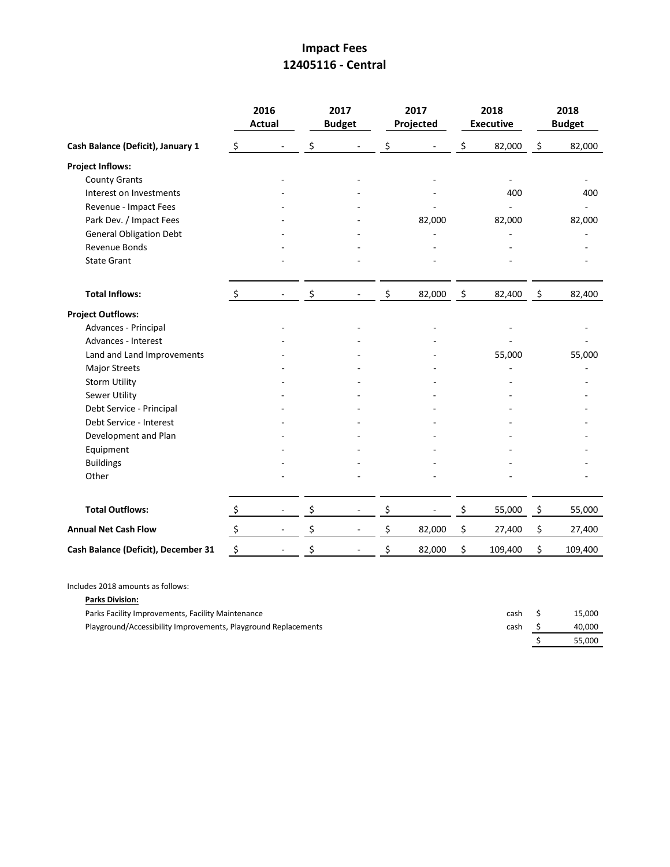## **Impact Fees 12405116 - Central**

|                                     |                           | 2016<br><b>Actual</b>    | 2017<br><b>Budget</b> | 2017<br>Projected |                    | 2018<br><b>Executive</b> |                    | 2018<br><b>Budget</b> |
|-------------------------------------|---------------------------|--------------------------|-----------------------|-------------------|--------------------|--------------------------|--------------------|-----------------------|
| Cash Balance (Deficit), January 1   | $\zeta$                   |                          | \$                    | \$                | \$                 | 82,000                   | \$                 | 82,000                |
| <b>Project Inflows:</b>             |                           |                          |                       |                   |                    |                          |                    |                       |
| <b>County Grants</b>                |                           |                          |                       |                   |                    |                          |                    |                       |
| Interest on Investments             |                           |                          |                       |                   |                    | 400                      |                    | 400                   |
| Revenue - Impact Fees               |                           |                          |                       |                   |                    |                          |                    |                       |
| Park Dev. / Impact Fees             |                           |                          |                       | 82,000            |                    | 82,000                   |                    | 82,000                |
| <b>General Obligation Debt</b>      |                           |                          |                       |                   |                    |                          |                    |                       |
| <b>Revenue Bonds</b>                |                           |                          |                       |                   |                    |                          |                    |                       |
| <b>State Grant</b>                  |                           |                          |                       |                   |                    |                          |                    |                       |
| <b>Total Inflows:</b>               | $\ddot{\mathsf{S}}$       |                          | \$                    | \$<br>82,000      | $\ddot{\varsigma}$ | 82,400                   | $\ddot{\varsigma}$ | 82,400                |
| <b>Project Outflows:</b>            |                           |                          |                       |                   |                    |                          |                    |                       |
| Advances - Principal                |                           |                          |                       |                   |                    |                          |                    |                       |
| Advances - Interest                 |                           |                          |                       |                   |                    |                          |                    |                       |
| Land and Land Improvements          |                           |                          |                       |                   |                    | 55,000                   |                    | 55,000                |
| <b>Major Streets</b>                |                           |                          |                       |                   |                    |                          |                    |                       |
| <b>Storm Utility</b>                |                           |                          |                       |                   |                    |                          |                    |                       |
| Sewer Utility                       |                           |                          |                       |                   |                    |                          |                    |                       |
| Debt Service - Principal            |                           |                          |                       |                   |                    |                          |                    |                       |
| Debt Service - Interest             |                           |                          |                       |                   |                    |                          |                    |                       |
| Development and Plan                |                           |                          |                       |                   |                    |                          |                    |                       |
| Equipment                           |                           |                          |                       |                   |                    |                          |                    |                       |
| <b>Buildings</b>                    |                           |                          |                       |                   |                    |                          |                    |                       |
| Other                               |                           |                          |                       |                   |                    |                          |                    |                       |
| <b>Total Outflows:</b>              | $\zeta$                   |                          | \$                    | \$                | \$                 | 55,000                   | $\zeta$            | 55,000                |
| <b>Annual Net Cash Flow</b>         | $\boldsymbol{\mathsf{S}}$ | $\overline{\phantom{a}}$ | \$                    | \$<br>82,000      | \$                 | 27,400                   | \$                 | 27,400                |
| Cash Balance (Deficit), December 31 | \$                        |                          | \$                    | \$<br>82,000      | \$                 | 109,400                  | \$                 | 109,400               |

Includes 2018 amounts as follows:

**Parks Division:**

Parks Facility Improvements, Facility Maintenance cash \$ 15,000

| Playground/Accessibility Improvements, Playground Replacements | cash S | 40.000 |
|----------------------------------------------------------------|--------|--------|
|                                                                |        | 55,000 |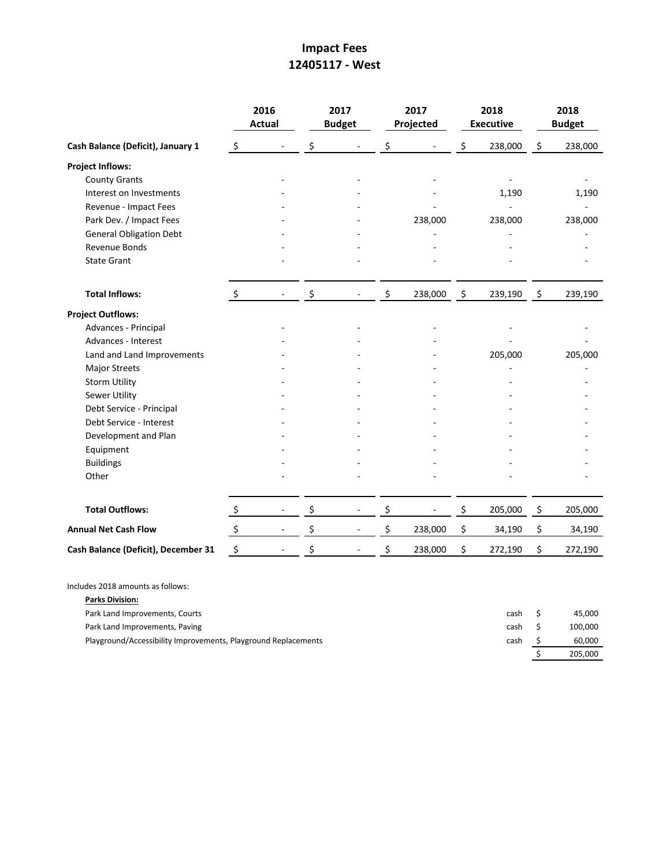# **Impact Fees 12405117 - West**

|                                     |                      | 2016<br>Actual           | 2017<br><b>Budget</b> | 2017<br>Projected | 2018<br><b>Executive</b> |                | 2018<br><b>Budget</b> |
|-------------------------------------|----------------------|--------------------------|-----------------------|-------------------|--------------------------|----------------|-----------------------|
| Cash Balance (Deficit), January 1   | $\ddot{\varsigma}$   |                          | \$                    | \$                | \$<br>238,000            | \$             | 238,000               |
| <b>Project Inflows:</b>             |                      |                          |                       |                   |                          |                |                       |
| <b>County Grants</b>                |                      |                          |                       |                   |                          |                |                       |
| Interest on Investments             |                      |                          |                       |                   | 1,190                    |                | 1,190                 |
| Revenue - Impact Fees               |                      |                          |                       |                   |                          |                |                       |
| Park Dev. / Impact Fees             |                      |                          |                       | 238,000           | 238,000                  |                | 238,000               |
| <b>General Obligation Debt</b>      |                      |                          |                       |                   |                          |                |                       |
| Revenue Bonds                       |                      |                          |                       |                   |                          |                |                       |
| <b>State Grant</b>                  |                      |                          |                       |                   |                          |                |                       |
| <b>Total Inflows:</b>               | $\ddot{\zeta}$       |                          | \$                    | \$<br>238,000     | \$<br>239,190            | $\ddot{\zeta}$ | 239,190               |
| <b>Project Outflows:</b>            |                      |                          |                       |                   |                          |                |                       |
| Advances - Principal                |                      |                          |                       |                   |                          |                |                       |
| Advances - Interest                 |                      |                          |                       |                   |                          |                |                       |
| Land and Land Improvements          |                      |                          |                       |                   | 205,000                  |                | 205,000               |
| <b>Major Streets</b>                |                      |                          |                       |                   |                          |                |                       |
| <b>Storm Utility</b>                |                      |                          |                       |                   |                          |                |                       |
| Sewer Utility                       |                      |                          |                       |                   |                          |                |                       |
| Debt Service - Principal            |                      |                          |                       |                   |                          |                |                       |
| Debt Service - Interest             |                      |                          |                       |                   |                          |                |                       |
| Development and Plan                |                      |                          |                       |                   |                          |                |                       |
| Equipment                           |                      |                          |                       |                   |                          |                |                       |
| <b>Buildings</b>                    |                      |                          |                       |                   |                          |                |                       |
| Other                               |                      |                          |                       |                   |                          |                |                       |
| <b>Total Outflows:</b>              | $\ddot{\zeta}$       | $\overline{\phantom{a}}$ | \$                    | \$                | \$<br>205,000            | \$             | 205,000               |
| <b>Annual Net Cash Flow</b>         | $\boldsymbol{\zeta}$ |                          | \$                    | \$<br>238,000     | \$<br>34,190             | \$             | 34,190                |
| Cash Balance (Deficit), December 31 | $\ddot{\phi}$        |                          | \$                    | \$<br>238,000     | \$<br>272,190            | \$             | 272,190               |

Includes 2018 amounts as follows:

| <b>Parks Division:</b>                                         |      |         |
|----------------------------------------------------------------|------|---------|
| Park Land Improvements, Courts                                 | cash | 45.000  |
| Park Land Improvements, Paving                                 | cash | 100.000 |
| Playground/Accessibility Improvements, Playground Replacements | cash | 60.000  |
|                                                                |      | 205.000 |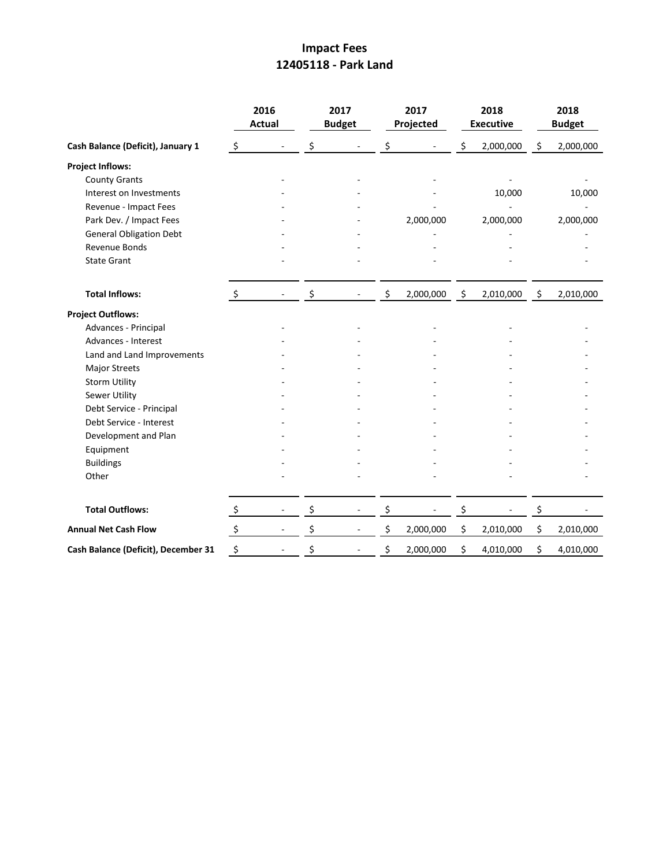## **Impact Fees 12405118 - Park Land**

|                                     |                      | 2016<br><b>Actual</b>    | 2017<br><b>Budget</b> | 2017<br>Projected |         | 2018<br><b>Executive</b> | 2018<br><b>Budget</b> |
|-------------------------------------|----------------------|--------------------------|-----------------------|-------------------|---------|--------------------------|-----------------------|
| Cash Balance (Deficit), January 1   | $\ddot{\zeta}$       |                          | \$                    | \$                | \$      | 2,000,000                | \$<br>2,000,000       |
| <b>Project Inflows:</b>             |                      |                          |                       |                   |         |                          |                       |
| <b>County Grants</b>                |                      |                          |                       |                   |         |                          |                       |
| Interest on Investments             |                      |                          |                       |                   |         | 10,000                   | 10,000                |
| Revenue - Impact Fees               |                      |                          |                       |                   |         |                          |                       |
| Park Dev. / Impact Fees             |                      |                          |                       | 2,000,000         |         | 2,000,000                | 2,000,000             |
| <b>General Obligation Debt</b>      |                      |                          |                       |                   |         |                          |                       |
| <b>Revenue Bonds</b>                |                      |                          |                       |                   |         |                          |                       |
| <b>State Grant</b>                  |                      |                          |                       |                   |         |                          |                       |
| <b>Total Inflows:</b>               | $\ddot{\mathsf{S}}$  |                          | \$                    | \$<br>2,000,000   | $\zeta$ | 2,010,000                | \$<br>2,010,000       |
| <b>Project Outflows:</b>            |                      |                          |                       |                   |         |                          |                       |
| Advances - Principal                |                      |                          |                       |                   |         |                          |                       |
| Advances - Interest                 |                      |                          |                       |                   |         |                          |                       |
| Land and Land Improvements          |                      |                          |                       |                   |         |                          |                       |
| Major Streets                       |                      |                          |                       |                   |         |                          |                       |
| <b>Storm Utility</b>                |                      |                          |                       |                   |         |                          |                       |
| Sewer Utility                       |                      |                          |                       |                   |         |                          |                       |
| Debt Service - Principal            |                      |                          |                       |                   |         |                          |                       |
| Debt Service - Interest             |                      |                          |                       |                   |         |                          |                       |
| Development and Plan                |                      |                          |                       |                   |         |                          |                       |
| Equipment                           |                      |                          |                       |                   |         |                          |                       |
| <b>Buildings</b>                    |                      |                          |                       |                   |         |                          |                       |
| Other                               |                      |                          |                       |                   |         |                          |                       |
| <b>Total Outflows:</b>              | $\ddot{\zeta}$       |                          | \$                    | \$                | \$      |                          | \$                    |
| <b>Annual Net Cash Flow</b>         | $\boldsymbol{\zeta}$ | $\overline{\phantom{0}}$ | \$                    | \$<br>2,000,000   | \$      | 2,010,000                | \$<br>2,010,000       |
| Cash Balance (Deficit), December 31 | \$                   |                          | \$                    | \$<br>2,000,000   | \$      | 4,010,000                | \$<br>4,010,000       |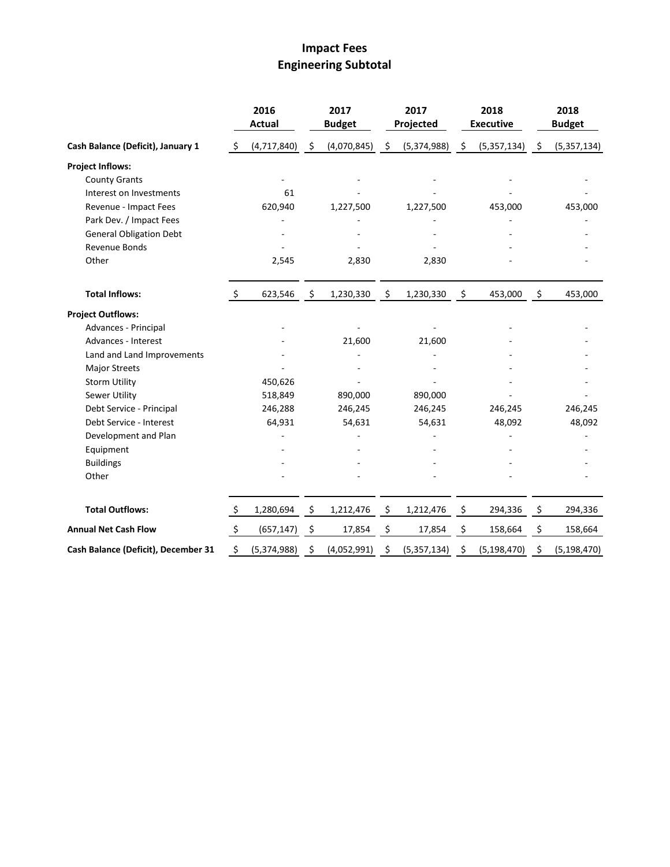# **Impact Fees Engineering Subtotal**

|                                     |               | 2016<br><b>Actual</b> |         | 2017<br><b>Budget</b> |     | 2017<br>Projected |     | 2018<br><b>Executive</b> | 2018<br><b>Budget</b> |
|-------------------------------------|---------------|-----------------------|---------|-----------------------|-----|-------------------|-----|--------------------------|-----------------------|
| Cash Balance (Deficit), January 1   | \$            | (4, 717, 840)         | $\zeta$ | (4,070,845)           | -\$ | (5,374,988)       | -\$ | (5, 357, 134)            | \$<br>(5,357,134)     |
| <b>Project Inflows:</b>             |               |                       |         |                       |     |                   |     |                          |                       |
| <b>County Grants</b>                |               |                       |         |                       |     |                   |     |                          |                       |
| Interest on Investments             |               | 61                    |         |                       |     |                   |     |                          |                       |
| Revenue - Impact Fees               |               | 620,940               |         | 1,227,500             |     | 1,227,500         |     | 453,000                  | 453,000               |
| Park Dev. / Impact Fees             |               |                       |         |                       |     |                   |     |                          |                       |
| <b>General Obligation Debt</b>      |               |                       |         |                       |     |                   |     |                          |                       |
| Revenue Bonds                       |               |                       |         |                       |     |                   |     |                          |                       |
| Other                               |               | 2,545                 |         | 2,830                 |     | 2,830             |     |                          |                       |
| <b>Total Inflows:</b>               | \$            | 623,546               | \$      | 1,230,330             | \$  | 1,230,330         | \$  | 453,000                  | \$<br>453,000         |
| <b>Project Outflows:</b>            |               |                       |         |                       |     |                   |     |                          |                       |
| Advances - Principal                |               |                       |         |                       |     |                   |     |                          |                       |
| Advances - Interest                 |               |                       |         | 21,600                |     | 21,600            |     |                          |                       |
| Land and Land Improvements          |               |                       |         |                       |     |                   |     |                          |                       |
| <b>Major Streets</b>                |               |                       |         |                       |     |                   |     |                          |                       |
| <b>Storm Utility</b>                |               | 450,626               |         |                       |     |                   |     |                          |                       |
| Sewer Utility                       |               | 518,849               |         | 890,000               |     | 890,000           |     |                          |                       |
| Debt Service - Principal            |               | 246,288               |         | 246,245               |     | 246,245           |     | 246,245                  | 246,245               |
| Debt Service - Interest             |               | 64,931                |         | 54,631                |     | 54,631            |     | 48,092                   | 48,092                |
| Development and Plan                |               |                       |         |                       |     |                   |     |                          |                       |
| Equipment                           |               |                       |         |                       |     |                   |     |                          |                       |
| <b>Buildings</b>                    |               |                       |         |                       |     |                   |     |                          |                       |
| Other                               |               |                       |         |                       |     |                   |     |                          |                       |
| <b>Total Outflows:</b>              | \$            | 1,280,694             | \$      | 1,212,476             | \$  | 1,212,476         | \$  | 294,336                  | \$<br>294,336         |
| <b>Annual Net Cash Flow</b>         | $\frac{1}{2}$ | (657, 147)            | \$      | 17,854                | \$  | 17,854            | \$  | 158,664                  | \$<br>158,664         |
| Cash Balance (Deficit), December 31 | \$            | (5,374,988)           | \$      | (4,052,991)           | \$  | (5, 357, 134)     | \$  | (5, 198, 470)            | \$<br>(5, 198, 470)   |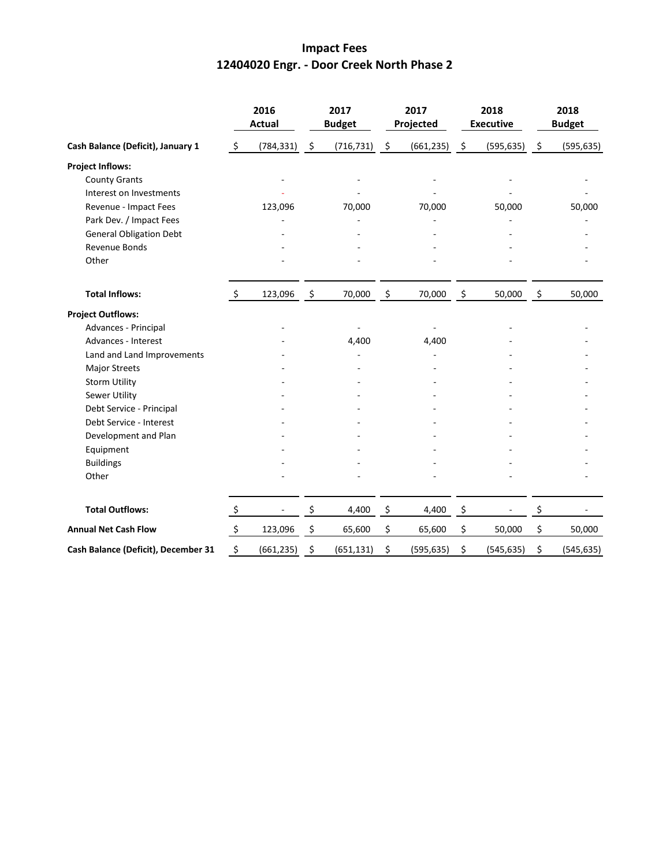#### **Impact Fees 12404020 Engr. - Door Creek North Phase 2**

|                                     |                    | 2016<br><b>Actual</b> |                     | 2017<br><b>Budget</b> |                    | 2017<br>Projected |                    | 2018<br><b>Executive</b> |                | 2018<br><b>Budget</b> |
|-------------------------------------|--------------------|-----------------------|---------------------|-----------------------|--------------------|-------------------|--------------------|--------------------------|----------------|-----------------------|
| Cash Balance (Deficit), January 1   | \$                 | (784, 331)            | $\ddot{\mathsf{S}}$ | (716, 731)            | $\ddot{\varsigma}$ | (661, 235)        | $\ddot{\varsigma}$ | (595, 635)               | $\ddot{\zeta}$ | (595, 635)            |
| <b>Project Inflows:</b>             |                    |                       |                     |                       |                    |                   |                    |                          |                |                       |
| <b>County Grants</b>                |                    |                       |                     | ÷,                    |                    |                   |                    |                          |                |                       |
| Interest on Investments             |                    |                       |                     |                       |                    |                   |                    |                          |                |                       |
| Revenue - Impact Fees               |                    | 123,096               |                     | 70,000                |                    | 70,000            |                    | 50,000                   |                | 50,000                |
| Park Dev. / Impact Fees             |                    |                       |                     |                       |                    |                   |                    |                          |                |                       |
| <b>General Obligation Debt</b>      |                    |                       |                     |                       |                    |                   |                    |                          |                |                       |
| Revenue Bonds                       |                    |                       |                     |                       |                    |                   |                    |                          |                |                       |
| Other                               |                    |                       |                     |                       |                    |                   |                    |                          |                |                       |
| <b>Total Inflows:</b>               | $\ddot{\varsigma}$ | 123,096               | $\zeta$             | 70,000                | \$                 | 70,000            | \$                 | 50,000                   | \$             | 50,000                |
| <b>Project Outflows:</b>            |                    |                       |                     |                       |                    |                   |                    |                          |                |                       |
| Advances - Principal                |                    |                       |                     |                       |                    |                   |                    |                          |                |                       |
| Advances - Interest                 |                    |                       |                     | 4,400                 |                    | 4,400             |                    |                          |                |                       |
| Land and Land Improvements          |                    |                       |                     |                       |                    |                   |                    |                          |                |                       |
| <b>Major Streets</b>                |                    |                       |                     |                       |                    |                   |                    |                          |                |                       |
| <b>Storm Utility</b>                |                    |                       |                     |                       |                    |                   |                    |                          |                |                       |
| Sewer Utility                       |                    |                       |                     |                       |                    |                   |                    |                          |                |                       |
| Debt Service - Principal            |                    |                       |                     |                       |                    |                   |                    |                          |                |                       |
| Debt Service - Interest             |                    |                       |                     |                       |                    |                   |                    |                          |                |                       |
| Development and Plan                |                    |                       |                     |                       |                    |                   |                    |                          |                |                       |
| Equipment                           |                    |                       |                     |                       |                    |                   |                    |                          |                |                       |
| <b>Buildings</b>                    |                    |                       |                     |                       |                    |                   |                    |                          |                |                       |
| Other                               |                    |                       |                     |                       |                    |                   |                    |                          |                |                       |
| <b>Total Outflows:</b>              | $\zeta$            |                       | \$                  | 4,400                 | \$                 | 4,400             | \$                 |                          | \$             |                       |
| <b>Annual Net Cash Flow</b>         | $\ddot{\varsigma}$ | 123,096               | \$                  | 65,600                | \$                 | 65,600            | \$                 | 50,000                   | \$             | 50,000                |
| Cash Balance (Deficit), December 31 | \$                 | (661, 235)            | \$                  | (651, 131)            | \$                 | (595, 635)        | \$                 | (545, 635)               | \$             | (545, 635)            |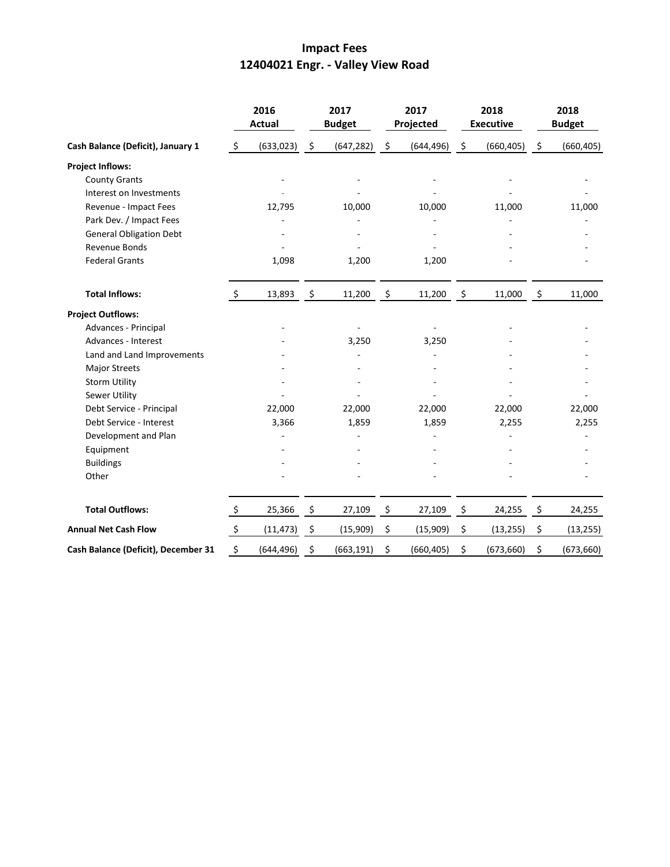# **Impact Fees 12404021 Engr. - Valley View Road**

|                                     |                     | 2016<br><b>Actual</b> |                     | 2017<br><b>Budget</b> |                    | 2017<br>Projected |                     | 2018<br><b>Executive</b> |                    | 2018<br><b>Budget</b> |
|-------------------------------------|---------------------|-----------------------|---------------------|-----------------------|--------------------|-------------------|---------------------|--------------------------|--------------------|-----------------------|
| Cash Balance (Deficit), January 1   | $\zeta$             | (633, 023)            | $\ddot{\zeta}$      | (647, 282)            | $\ddot{\varsigma}$ | (644, 496)        | $\ddot{\varsigma}$  | (660, 405)               | $\ddot{\varsigma}$ | (660, 405)            |
| <b>Project Inflows:</b>             |                     |                       |                     |                       |                    |                   |                     |                          |                    |                       |
| <b>County Grants</b>                |                     |                       |                     |                       |                    |                   |                     |                          |                    |                       |
| Interest on Investments             |                     |                       |                     |                       |                    |                   |                     |                          |                    |                       |
| Revenue - Impact Fees               |                     | 12,795                |                     | 10,000                |                    | 10,000            |                     | 11,000                   |                    | 11,000                |
| Park Dev. / Impact Fees             |                     |                       |                     |                       |                    |                   |                     |                          |                    |                       |
| <b>General Obligation Debt</b>      |                     |                       |                     |                       |                    |                   |                     |                          |                    |                       |
| Revenue Bonds                       |                     |                       |                     |                       |                    |                   |                     |                          |                    |                       |
| <b>Federal Grants</b>               |                     | 1,098                 |                     | 1,200                 |                    | 1,200             |                     |                          |                    |                       |
| <b>Total Inflows:</b>               | $\ddot{\mathsf{S}}$ | 13,893                | $\ddot{\mathsf{s}}$ | 11,200                | - \$               | 11,200            | $\ddot{\mathsf{S}}$ | 11,000                   | - \$               | 11,000                |
| <b>Project Outflows:</b>            |                     |                       |                     |                       |                    |                   |                     |                          |                    |                       |
| Advances - Principal                |                     |                       |                     |                       |                    |                   |                     |                          |                    |                       |
| Advances - Interest                 |                     |                       |                     | 3,250                 |                    | 3,250             |                     |                          |                    |                       |
| Land and Land Improvements          |                     |                       |                     |                       |                    |                   |                     |                          |                    |                       |
| <b>Major Streets</b>                |                     |                       |                     |                       |                    |                   |                     |                          |                    |                       |
| <b>Storm Utility</b>                |                     |                       |                     |                       |                    |                   |                     |                          |                    |                       |
| Sewer Utility                       |                     |                       |                     |                       |                    |                   |                     |                          |                    |                       |
| Debt Service - Principal            |                     | 22,000                |                     | 22,000                |                    | 22,000            |                     | 22,000                   |                    | 22,000                |
| Debt Service - Interest             |                     | 3,366                 |                     | 1,859                 |                    | 1,859             |                     | 2,255                    |                    | 2,255                 |
| Development and Plan                |                     |                       |                     |                       |                    |                   |                     |                          |                    |                       |
| Equipment                           |                     |                       |                     |                       |                    |                   |                     |                          |                    |                       |
| <b>Buildings</b>                    |                     |                       |                     |                       |                    |                   |                     |                          |                    |                       |
| Other                               |                     |                       |                     |                       |                    |                   |                     |                          |                    |                       |
| <b>Total Outflows:</b>              | $\zeta$             | 25,366                | - \$                | 27,109                | \$                 | 27,109            | \$                  | 24,255                   | \$                 | 24,255                |
| <b>Annual Net Cash Flow</b>         | $\ddot{\zeta}$      | (11, 473)             | $\zeta$             | (15,909)              | \$                 | (15,909)          | \$                  | (13, 255)                | \$                 | (13, 255)             |
| Cash Balance (Deficit), December 31 | \$                  | (644, 496)            | \$                  | (663, 191)            | \$                 | (660, 405)        | \$                  | (673, 660)               | \$                 | (673, 660)            |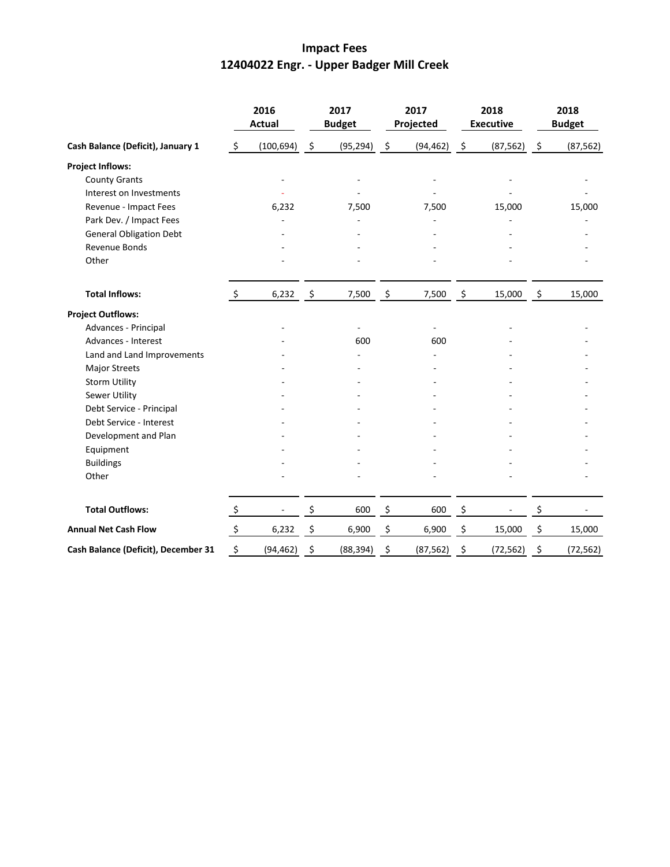# **Impact Fees 12404022 Engr. - Upper Badger Mill Creek**

|                                     | 2016<br><b>Actual</b>     |            | 2017<br><b>Budget</b> |           | 2017<br>Projected   |           | 2018<br><b>Executive</b> |                          | 2018<br><b>Budget</b> |           |
|-------------------------------------|---------------------------|------------|-----------------------|-----------|---------------------|-----------|--------------------------|--------------------------|-----------------------|-----------|
| Cash Balance (Deficit), January 1   | \$                        | (100, 694) | \$                    | (95, 294) | $\ddot{\mathsf{S}}$ | (94, 462) | \$                       | (87, 562)                | $\ddot{\zeta}$        | (87, 562) |
| <b>Project Inflows:</b>             |                           |            |                       |           |                     |           |                          |                          |                       |           |
| <b>County Grants</b>                |                           |            |                       | ÷,        |                     |           |                          |                          |                       |           |
| Interest on Investments             |                           |            |                       |           |                     |           |                          |                          |                       |           |
| Revenue - Impact Fees               |                           | 6,232      |                       | 7,500     |                     | 7,500     |                          | 15,000                   |                       | 15,000    |
| Park Dev. / Impact Fees             |                           |            |                       |           |                     |           |                          |                          |                       |           |
| <b>General Obligation Debt</b>      |                           |            |                       |           |                     |           |                          |                          |                       |           |
| Revenue Bonds                       |                           |            |                       |           |                     |           |                          |                          |                       |           |
| Other                               |                           |            |                       |           |                     |           |                          |                          |                       |           |
| <b>Total Inflows:</b>               | $\zeta$                   | 6,232      | $\ddot{\mathsf{s}}$   | 7,500     | \$                  | 7,500     | \$                       | 15,000                   | \$                    | 15,000    |
| <b>Project Outflows:</b>            |                           |            |                       |           |                     |           |                          |                          |                       |           |
| Advances - Principal                |                           |            |                       |           |                     |           |                          |                          |                       |           |
| Advances - Interest                 |                           |            |                       | 600       |                     | 600       |                          |                          |                       |           |
| Land and Land Improvements          |                           |            |                       |           |                     |           |                          |                          |                       |           |
| Major Streets                       |                           |            |                       |           |                     |           |                          |                          |                       |           |
| <b>Storm Utility</b>                |                           |            |                       |           |                     |           |                          |                          |                       |           |
| Sewer Utility                       |                           |            |                       |           |                     |           |                          |                          |                       |           |
| Debt Service - Principal            |                           |            |                       |           |                     |           |                          |                          |                       |           |
| Debt Service - Interest             |                           |            |                       |           |                     |           |                          |                          |                       |           |
| Development and Plan                |                           |            |                       |           |                     |           |                          |                          |                       |           |
| Equipment                           |                           |            |                       |           |                     |           |                          |                          |                       |           |
| <b>Buildings</b>                    |                           |            |                       |           |                     |           |                          |                          |                       |           |
| Other                               |                           |            |                       |           |                     |           |                          |                          |                       |           |
| <b>Total Outflows:</b>              | $\zeta$                   |            | \$                    | 600       | \$                  | 600       | \$                       | $\overline{\phantom{0}}$ | \$                    |           |
| <b>Annual Net Cash Flow</b>         | $\boldsymbol{\mathsf{S}}$ | 6,232      | \$                    | 6,900     | \$                  | 6,900     | \$                       | 15,000                   | \$                    | 15,000    |
| Cash Balance (Deficit), December 31 | \$                        | (94, 462)  | \$                    | (88, 394) | \$                  | (87, 562) | \$                       | (72, 562)                | \$                    | (72, 562) |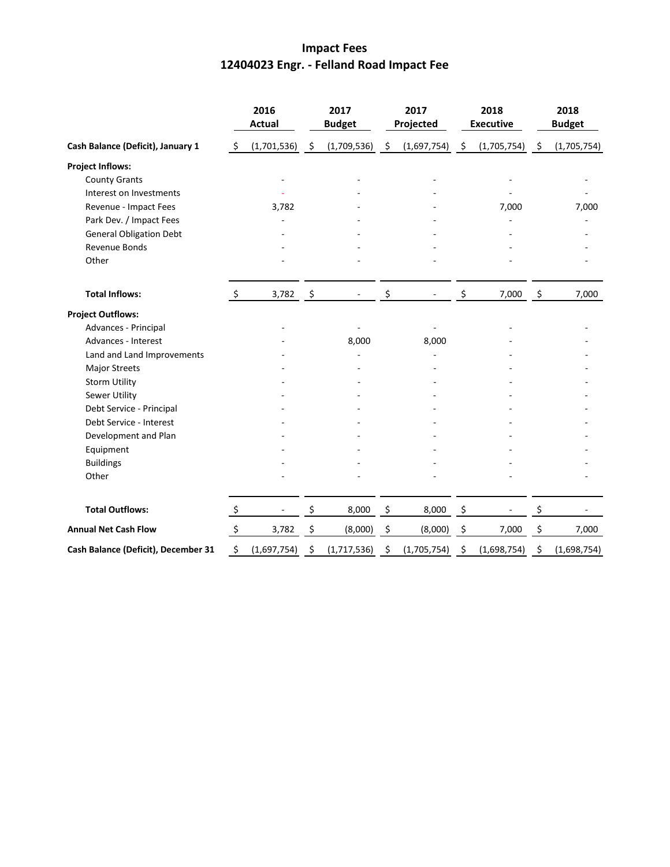# **Impact Fees 12404023 Engr. - Felland Road Impact Fee**

|                                     |                | 2016<br><b>Actual</b> | 2017<br><b>Budget</b> | 2017<br>Projected      | 2018<br><b>Executive</b> |      | 2018<br><b>Budget</b> |
|-------------------------------------|----------------|-----------------------|-----------------------|------------------------|--------------------------|------|-----------------------|
| Cash Balance (Deficit), January 1   | -\$            | $(1,701,536)$ \$      | (1,709,536)           | \$<br>$(1,697,754)$ \$ | (1,705,754)              | - \$ | (1,705,754)           |
| <b>Project Inflows:</b>             |                |                       |                       |                        |                          |      |                       |
| <b>County Grants</b>                |                |                       |                       |                        |                          |      |                       |
| Interest on Investments             |                |                       |                       |                        |                          |      |                       |
| Revenue - Impact Fees               |                | 3,782                 |                       |                        | 7,000                    |      | 7,000                 |
| Park Dev. / Impact Fees             |                |                       |                       |                        |                          |      |                       |
| <b>General Obligation Debt</b>      |                |                       |                       |                        |                          |      |                       |
| <b>Revenue Bonds</b>                |                |                       |                       |                        |                          |      |                       |
| Other                               |                |                       |                       |                        |                          |      |                       |
| <b>Total Inflows:</b>               | \$             | 3,782                 | \$                    | \$                     | \$<br>7,000              | \$   | 7,000                 |
| <b>Project Outflows:</b>            |                |                       |                       |                        |                          |      |                       |
| Advances - Principal                |                |                       |                       |                        |                          |      |                       |
| Advances - Interest                 |                |                       | 8,000                 | 8,000                  |                          |      |                       |
| Land and Land Improvements          |                |                       |                       |                        |                          |      |                       |
| <b>Major Streets</b>                |                |                       |                       |                        |                          |      |                       |
| <b>Storm Utility</b>                |                |                       |                       |                        |                          |      |                       |
| Sewer Utility                       |                |                       |                       |                        |                          |      |                       |
| Debt Service - Principal            |                |                       |                       |                        |                          |      |                       |
| Debt Service - Interest             |                |                       |                       |                        |                          |      |                       |
| Development and Plan                |                |                       |                       |                        |                          |      |                       |
| Equipment                           |                |                       |                       |                        |                          |      |                       |
| <b>Buildings</b>                    |                |                       |                       |                        |                          |      |                       |
| Other                               |                |                       |                       |                        |                          |      |                       |
| <b>Total Outflows:</b>              | $\ddot{\zeta}$ |                       | \$<br>8,000           | \$<br>8,000            | \$                       | \$   |                       |
| <b>Annual Net Cash Flow</b>         | $\zeta$        | 3,782                 | \$<br>(8,000)         | \$<br>(8,000)          | \$<br>7,000              | \$   | 7,000                 |
| Cash Balance (Deficit), December 31 | \$             | (1,697,754)           | \$<br>(1,717,536)     | \$<br>(1,705,754)      | \$<br>(1,698,754)        | \$   | (1,698,754)           |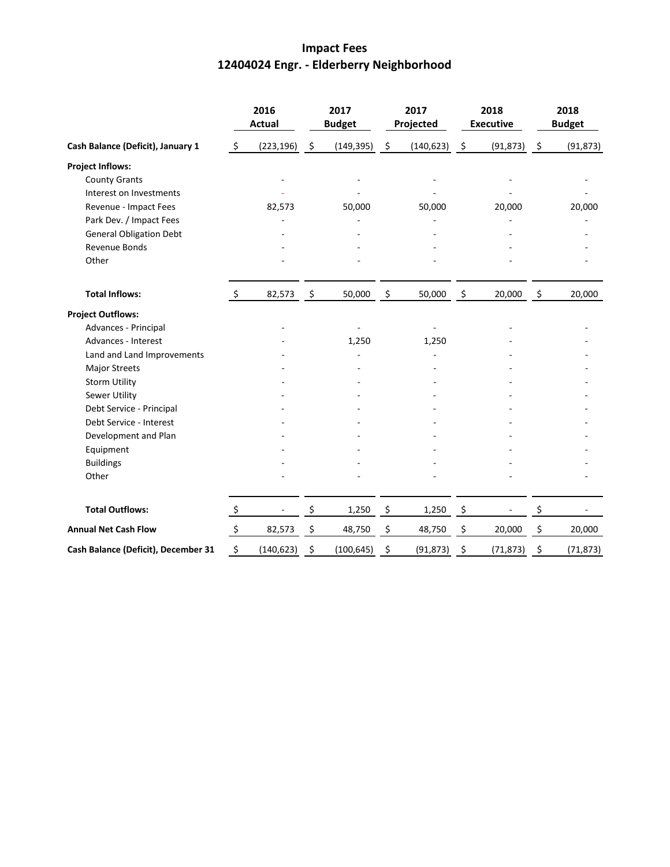# **Impact Fees 12404024 Engr. - Elderberry Neighborhood**

|                                     |               | 2016<br><b>Actual</b>    |                     | 2017<br><b>Budget</b> |                    | 2017<br>Projected |                     | 2018<br><b>Executive</b> |                | 2018<br><b>Budget</b> |  |
|-------------------------------------|---------------|--------------------------|---------------------|-----------------------|--------------------|-------------------|---------------------|--------------------------|----------------|-----------------------|--|
| Cash Balance (Deficit), January 1   | $\zeta$       | (223, 196)               | $\ddot{\mathsf{S}}$ | (149, 395)            | $\ddot{\varsigma}$ | (140, 623)        | $\ddot{\varsigma}$  | (91, 873)                | $\ddot{\zeta}$ | (91, 873)             |  |
| <b>Project Inflows:</b>             |               |                          |                     |                       |                    |                   |                     |                          |                |                       |  |
| <b>County Grants</b>                |               |                          |                     |                       |                    |                   |                     |                          |                |                       |  |
| Interest on Investments             |               |                          |                     |                       |                    |                   |                     |                          |                |                       |  |
| Revenue - Impact Fees               |               | 82,573                   |                     | 50,000                |                    | 50,000            |                     | 20,000                   |                | 20,000                |  |
| Park Dev. / Impact Fees             |               |                          |                     |                       |                    |                   |                     |                          |                |                       |  |
| <b>General Obligation Debt</b>      |               |                          |                     |                       |                    |                   |                     |                          |                |                       |  |
| Revenue Bonds                       |               |                          |                     |                       |                    |                   |                     |                          |                |                       |  |
| Other                               |               |                          |                     |                       |                    |                   |                     |                          |                |                       |  |
| <b>Total Inflows:</b>               | \$            | 82,573                   | $\ddot{\mathsf{S}}$ | 50,000                | \$                 | 50,000            | $\ddot{\mathsf{S}}$ | 20,000                   | $\zeta$        | 20,000                |  |
| <b>Project Outflows:</b>            |               |                          |                     |                       |                    |                   |                     |                          |                |                       |  |
| Advances - Principal                |               |                          |                     |                       |                    |                   |                     |                          |                |                       |  |
| Advances - Interest                 |               |                          |                     | 1,250                 |                    | 1,250             |                     |                          |                |                       |  |
| Land and Land Improvements          |               |                          |                     |                       |                    |                   |                     |                          |                |                       |  |
| <b>Major Streets</b>                |               |                          |                     |                       |                    |                   |                     |                          |                |                       |  |
| <b>Storm Utility</b>                |               |                          |                     |                       |                    |                   |                     |                          |                |                       |  |
| Sewer Utility                       |               |                          |                     |                       |                    |                   |                     |                          |                |                       |  |
| Debt Service - Principal            |               |                          |                     |                       |                    |                   |                     |                          |                |                       |  |
| Debt Service - Interest             |               |                          |                     |                       |                    |                   |                     |                          |                |                       |  |
| Development and Plan                |               |                          |                     |                       |                    |                   |                     |                          |                |                       |  |
| Equipment                           |               |                          |                     |                       |                    |                   |                     |                          |                |                       |  |
| <b>Buildings</b>                    |               |                          |                     |                       |                    |                   |                     |                          |                |                       |  |
| Other                               |               |                          |                     |                       |                    |                   |                     |                          |                |                       |  |
| <b>Total Outflows:</b>              | $\ddot{\phi}$ | $\overline{\phantom{a}}$ | \$                  | 1,250                 | \$                 | 1,250             | $\frac{5}{2}$       |                          | \$             |                       |  |
| <b>Annual Net Cash Flow</b>         | $\zeta$       | 82,573                   | \$                  | 48,750                | \$                 | 48,750            | \$                  | 20,000                   | \$             | 20,000                |  |
| Cash Balance (Deficit), December 31 | \$            | (140, 623)               | \$                  | (100, 645)            | \$                 | (91, 873)         | \$                  | (71, 873)                | \$             | (71, 873)             |  |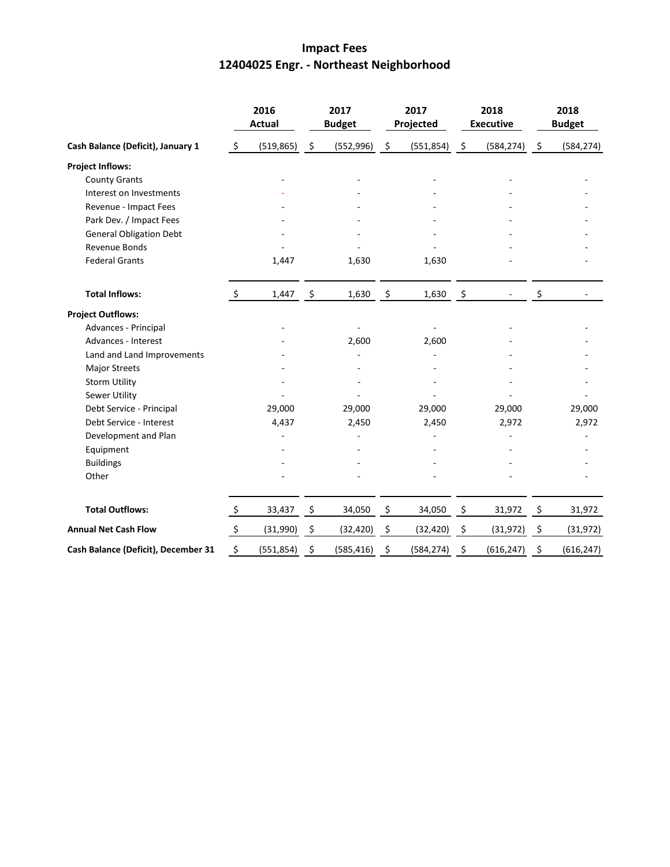# **Impact Fees 12404025 Engr. - Northeast Neighborhood**

|                                     |                     | 2016<br><b>Actual</b> |                     | 2017<br><b>Budget</b> |    | 2017<br>Projected |               | 2018<br><b>Executive</b> | 2018<br><b>Budget</b> |            |
|-------------------------------------|---------------------|-----------------------|---------------------|-----------------------|----|-------------------|---------------|--------------------------|-----------------------|------------|
| Cash Balance (Deficit), January 1   | \$                  | (519, 865)            | $\ddot{\varsigma}$  | (552, 996)            | \$ | (551, 854)        | $\frac{5}{2}$ | (584, 274)               | $\ddot{\varsigma}$    | (584, 274) |
| <b>Project Inflows:</b>             |                     |                       |                     |                       |    |                   |               |                          |                       |            |
| <b>County Grants</b>                |                     |                       |                     |                       |    |                   |               |                          |                       |            |
| Interest on Investments             |                     |                       |                     |                       |    |                   |               |                          |                       |            |
| Revenue - Impact Fees               |                     |                       |                     |                       |    |                   |               |                          |                       |            |
| Park Dev. / Impact Fees             |                     |                       |                     |                       |    |                   |               |                          |                       |            |
| <b>General Obligation Debt</b>      |                     |                       |                     |                       |    |                   |               |                          |                       |            |
| Revenue Bonds                       |                     |                       |                     |                       |    |                   |               |                          |                       |            |
| <b>Federal Grants</b>               |                     | 1,447                 |                     | 1,630                 |    | 1,630             |               |                          |                       |            |
| <b>Total Inflows:</b>               | $\zeta$             | 1,447                 | - \$                | 1,630                 | \$ | 1,630             | - \$          |                          | \$                    |            |
| <b>Project Outflows:</b>            |                     |                       |                     |                       |    |                   |               |                          |                       |            |
| Advances - Principal                |                     |                       |                     |                       |    |                   |               |                          |                       |            |
| Advances - Interest                 |                     |                       |                     | 2,600                 |    | 2,600             |               |                          |                       |            |
| Land and Land Improvements          |                     |                       |                     |                       |    |                   |               |                          |                       |            |
| <b>Major Streets</b>                |                     |                       |                     |                       |    |                   |               |                          |                       |            |
| <b>Storm Utility</b>                |                     |                       |                     |                       |    |                   |               |                          |                       |            |
| Sewer Utility                       |                     |                       |                     |                       |    |                   |               |                          |                       |            |
| Debt Service - Principal            |                     | 29,000                |                     | 29,000                |    | 29,000            |               | 29,000                   |                       | 29,000     |
| Debt Service - Interest             |                     | 4,437                 |                     | 2,450                 |    | 2,450             |               | 2,972                    |                       | 2,972      |
| Development and Plan                |                     |                       |                     |                       |    |                   |               |                          |                       |            |
| Equipment                           |                     |                       |                     |                       |    |                   |               |                          |                       |            |
| <b>Buildings</b>                    |                     |                       |                     |                       |    |                   |               |                          |                       |            |
| Other                               |                     |                       |                     |                       |    |                   |               |                          |                       |            |
| <b>Total Outflows:</b>              | $\ddot{\mathsf{S}}$ | 33,437                | $\ddot{\mathsf{S}}$ | 34,050                | \$ | 34,050            | \$            | 31,972                   | \$                    | 31,972     |
| <b>Annual Net Cash Flow</b>         | $\ddot{\mathsf{S}}$ | (31,990)              | \$                  | (32, 420)             | \$ | (32, 420)         | \$            | (31, 972)                | \$                    | (31, 972)  |
| Cash Balance (Deficit), December 31 | \$                  | (551, 854)            | \$                  | (585, 416)            | \$ | (584, 274)        | \$            | (616, 247)               | \$                    | (616, 247) |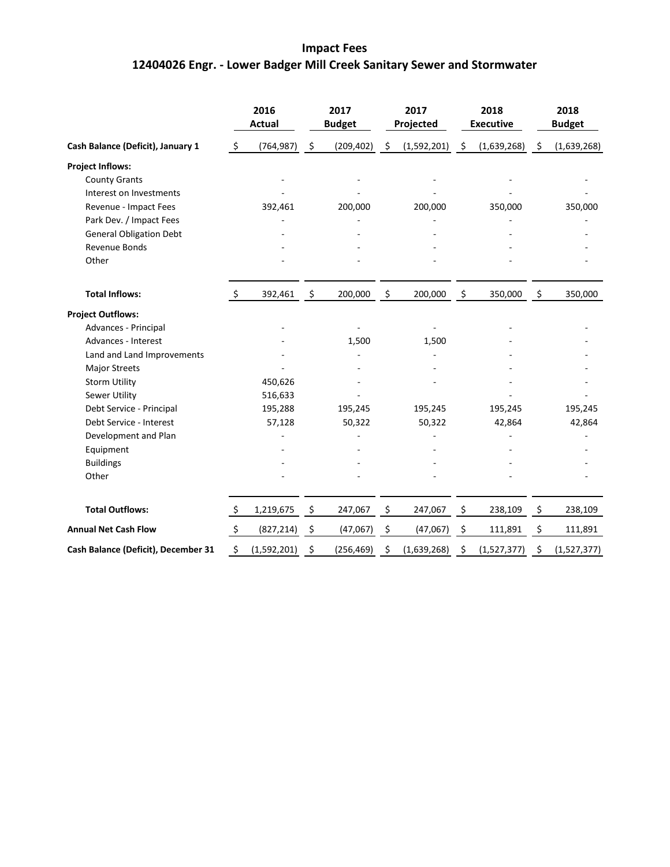# **Impact Fees 12404026 Engr. - Lower Badger Mill Creek Sanitary Sewer and Stormwater**

|                                     |                     | 2016<br><b>Actual</b> |                     | 2017<br><b>Budget</b> |     | 2017<br>Projected |      | 2018<br><b>Executive</b> | 2018<br><b>Budget</b> |             |
|-------------------------------------|---------------------|-----------------------|---------------------|-----------------------|-----|-------------------|------|--------------------------|-----------------------|-------------|
| Cash Balance (Deficit), January 1   | \$                  | (764, 987)            | $\ddot{\mathsf{S}}$ | (209, 402)            | -\$ | (1,592,201)       | - \$ | (1,639,268)              | -\$                   | (1,639,268) |
| <b>Project Inflows:</b>             |                     |                       |                     |                       |     |                   |      |                          |                       |             |
| <b>County Grants</b>                |                     |                       |                     |                       |     |                   |      |                          |                       |             |
| Interest on Investments             |                     |                       |                     |                       |     |                   |      |                          |                       |             |
| Revenue - Impact Fees               |                     | 392,461               |                     | 200,000               |     | 200,000           |      | 350,000                  |                       | 350,000     |
| Park Dev. / Impact Fees             |                     |                       |                     |                       |     |                   |      |                          |                       |             |
| <b>General Obligation Debt</b>      |                     |                       |                     |                       |     |                   |      |                          |                       |             |
| Revenue Bonds                       |                     |                       |                     |                       |     |                   |      |                          |                       |             |
| Other                               |                     |                       |                     |                       |     |                   |      |                          |                       |             |
| <b>Total Inflows:</b>               | \$                  | 392,461               | $\ddot{\mathsf{S}}$ | 200,000               | \$  | 200,000           | \$   | 350,000                  | \$                    | 350,000     |
| <b>Project Outflows:</b>            |                     |                       |                     |                       |     |                   |      |                          |                       |             |
| Advances - Principal                |                     |                       |                     |                       |     |                   |      |                          |                       |             |
| Advances - Interest                 |                     |                       |                     | 1,500                 |     | 1,500             |      |                          |                       |             |
| Land and Land Improvements          |                     |                       |                     |                       |     |                   |      |                          |                       |             |
| <b>Major Streets</b>                |                     |                       |                     |                       |     |                   |      |                          |                       |             |
| <b>Storm Utility</b>                |                     | 450,626               |                     |                       |     |                   |      |                          |                       |             |
| Sewer Utility                       |                     | 516,633               |                     |                       |     |                   |      |                          |                       |             |
| Debt Service - Principal            |                     | 195,288               |                     | 195,245               |     | 195,245           |      | 195,245                  |                       | 195,245     |
| Debt Service - Interest             |                     | 57,128                |                     | 50,322                |     | 50,322            |      | 42,864                   |                       | 42,864      |
| Development and Plan                |                     |                       |                     |                       |     |                   |      |                          |                       |             |
| Equipment                           |                     |                       |                     |                       |     |                   |      |                          |                       |             |
| <b>Buildings</b>                    |                     |                       |                     |                       |     |                   |      |                          |                       |             |
| Other                               |                     |                       |                     |                       |     |                   |      |                          |                       |             |
| <b>Total Outflows:</b>              | $\ddot{\mathsf{S}}$ | 1,219,675             | $\ddot{\mathsf{S}}$ | 247,067               | \$  | 247,067           | \$   | 238,109                  | \$                    | 238,109     |
| <b>Annual Net Cash Flow</b>         | $\ddot{\varsigma}$  | (827, 214)            | \$                  | (47,067)              | \$  | (47,067)          | \$   | 111,891                  | \$                    | 111,891     |
| Cash Balance (Deficit), December 31 | \$                  | (1,592,201)           | \$                  | (256, 469)            | \$  | (1,639,268)       | \$   | (1,527,377)              | \$                    | (1,527,377) |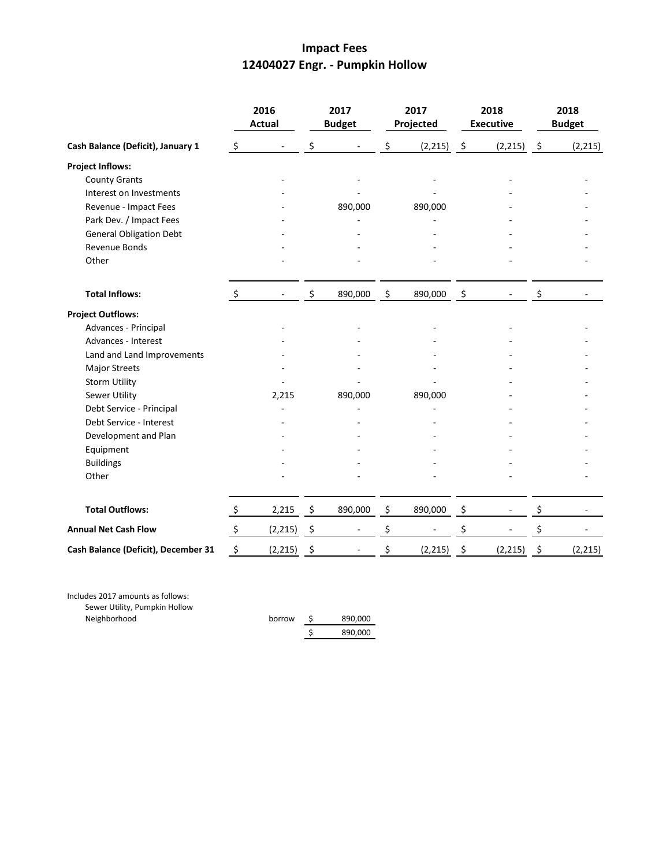## **Impact Fees 12404027 Engr. - Pumpkin Hollow**

|                                     | 2016<br><b>Actual</b> |          | 2017<br><b>Budget</b> |         | 2017<br>Projected |          | 2018<br><b>Executive</b> |          | 2018<br><b>Budget</b> |          |
|-------------------------------------|-----------------------|----------|-----------------------|---------|-------------------|----------|--------------------------|----------|-----------------------|----------|
| Cash Balance (Deficit), January 1   | \$                    |          | \$                    |         | \$                | (2, 215) | $\ddot{\varsigma}$       | (2, 215) | - \$                  | (2, 215) |
| <b>Project Inflows:</b>             |                       |          |                       |         |                   |          |                          |          |                       |          |
| <b>County Grants</b>                |                       |          |                       |         |                   |          |                          |          |                       |          |
| Interest on Investments             |                       |          |                       |         |                   |          |                          |          |                       |          |
| Revenue - Impact Fees               |                       |          |                       | 890,000 |                   | 890,000  |                          |          |                       |          |
| Park Dev. / Impact Fees             |                       |          |                       |         |                   |          |                          |          |                       |          |
| <b>General Obligation Debt</b>      |                       |          |                       |         |                   |          |                          |          |                       |          |
| Revenue Bonds                       |                       |          |                       |         |                   |          |                          |          |                       |          |
| Other                               |                       |          |                       |         |                   |          |                          |          |                       |          |
| <b>Total Inflows:</b>               | $\ddot{\mathsf{S}}$   |          | \$                    | 890,000 | \$                | 890,000  | $\mathfrak{S}$           |          | \$                    |          |
| <b>Project Outflows:</b>            |                       |          |                       |         |                   |          |                          |          |                       |          |
| Advances - Principal                |                       |          |                       |         |                   |          |                          |          |                       |          |
| Advances - Interest                 |                       |          |                       |         |                   |          |                          |          |                       |          |
| Land and Land Improvements          |                       |          |                       |         |                   |          |                          |          |                       |          |
| <b>Major Streets</b>                |                       |          |                       |         |                   |          |                          |          |                       |          |
| <b>Storm Utility</b>                |                       |          |                       |         |                   |          |                          |          |                       |          |
| Sewer Utility                       |                       | 2,215    |                       | 890,000 |                   | 890,000  |                          |          |                       |          |
| Debt Service - Principal            |                       |          |                       |         |                   |          |                          |          |                       |          |
| Debt Service - Interest             |                       |          |                       |         |                   |          |                          |          |                       |          |
| Development and Plan                |                       |          |                       |         |                   |          |                          |          |                       |          |
| Equipment                           |                       |          |                       |         |                   |          |                          |          |                       |          |
| <b>Buildings</b>                    |                       |          |                       |         |                   |          |                          |          |                       |          |
| Other                               |                       |          |                       |         |                   |          |                          |          |                       |          |
| <b>Total Outflows:</b>              | $\ddot{\zeta}$        | 2,215    | $\ddot{\mathsf{S}}$   | 890,000 | \$                | 890,000  | \$                       | -        | \$                    |          |
| <b>Annual Net Cash Flow</b>         | $\ddot{\varsigma}$    | (2, 215) | \$                    |         | \$                |          | \$                       |          | \$                    |          |
| Cash Balance (Deficit), December 31 | \$                    | (2, 215) | \$                    |         | \$                | (2, 215) | \$                       | (2, 215) | \$                    | (2, 215) |

Includes 2017 amounts as follows: Sewer Utility, Pumpkin Hollow Neighborhood

borrow \$ 890,000 \$ 890,000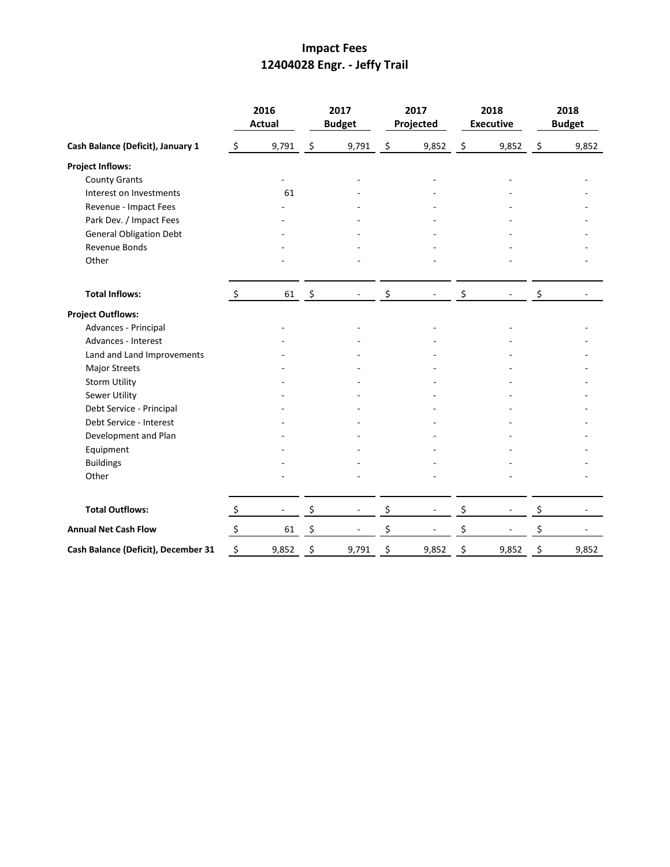# **Impact Fees 12404028 Engr. - Jeffy Trail**

|                                     | 2016<br><b>Actual</b>     |       | 2017<br><b>Budget</b> |       | 2017<br>Projected  |       | 2018<br><b>Executive</b> |                          | 2018<br><b>Budget</b> |       |
|-------------------------------------|---------------------------|-------|-----------------------|-------|--------------------|-------|--------------------------|--------------------------|-----------------------|-------|
| Cash Balance (Deficit), January 1   | $\zeta$                   | 9,791 | $\ddot{\varsigma}$    | 9,791 | $\ddot{\varsigma}$ | 9,852 | $\tilde{\mathcal{Z}}$    | 9,852                    | $\ddot{\varsigma}$    | 9,852 |
| <b>Project Inflows:</b>             |                           |       |                       |       |                    |       |                          |                          |                       |       |
| <b>County Grants</b>                |                           |       |                       |       |                    |       |                          |                          |                       |       |
| Interest on Investments             |                           | 61    |                       |       |                    |       |                          |                          |                       |       |
| Revenue - Impact Fees               |                           |       |                       |       |                    |       |                          |                          |                       |       |
| Park Dev. / Impact Fees             |                           |       |                       |       |                    |       |                          |                          |                       |       |
| <b>General Obligation Debt</b>      |                           |       |                       |       |                    |       |                          |                          |                       |       |
| Revenue Bonds                       |                           |       |                       |       |                    |       |                          |                          |                       |       |
| Other                               |                           |       |                       |       |                    |       |                          |                          |                       |       |
| <b>Total Inflows:</b>               | $\ddot{\mathsf{S}}$       | 61    | $\ddot{\mathsf{s}}$   |       | \$                 |       | \$                       |                          | \$                    |       |
| <b>Project Outflows:</b>            |                           |       |                       |       |                    |       |                          |                          |                       |       |
| Advances - Principal                |                           |       |                       |       |                    |       |                          |                          |                       |       |
| Advances - Interest                 |                           |       |                       |       |                    |       |                          |                          |                       |       |
| Land and Land Improvements          |                           |       |                       |       |                    |       |                          |                          |                       |       |
| Major Streets                       |                           |       |                       |       |                    |       |                          |                          |                       |       |
| <b>Storm Utility</b>                |                           |       |                       |       |                    |       |                          |                          |                       |       |
| <b>Sewer Utility</b>                |                           |       |                       |       |                    |       |                          |                          |                       |       |
| Debt Service - Principal            |                           |       |                       |       |                    |       |                          |                          |                       |       |
| Debt Service - Interest             |                           |       |                       |       |                    |       |                          |                          |                       |       |
| Development and Plan                |                           |       |                       |       |                    |       |                          |                          |                       |       |
| Equipment                           |                           |       |                       |       |                    |       |                          |                          |                       |       |
| <b>Buildings</b>                    |                           |       |                       |       |                    |       |                          |                          |                       |       |
| Other                               |                           |       |                       |       |                    |       |                          |                          |                       |       |
| <b>Total Outflows:</b>              | $\ddot{\zeta}$            |       | \$                    |       | \$                 |       | \$                       | $\overline{\phantom{a}}$ | \$                    |       |
| <b>Annual Net Cash Flow</b>         | $\boldsymbol{\mathsf{S}}$ | 61    | \$                    |       | \$                 |       | \$                       |                          | \$                    |       |
| Cash Balance (Deficit), December 31 | \$                        | 9,852 | \$                    | 9,791 | \$                 | 9,852 | \$                       | 9,852                    | \$                    | 9,852 |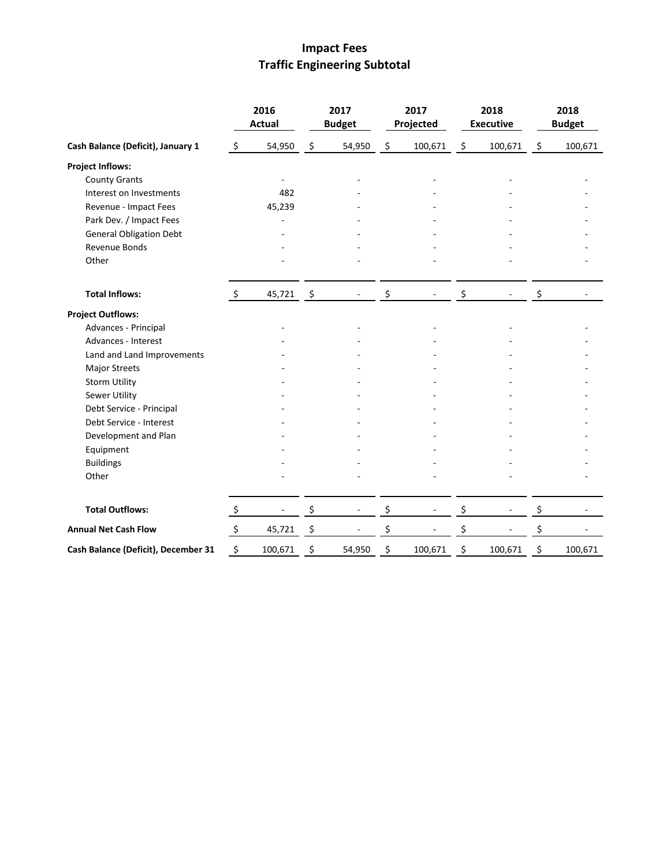# **Impact Fees Traffic Engineering Subtotal**

|                                     | 2016<br><b>Actual</b> |         |                     | 2017<br><b>Budget</b> |    | 2017<br>Projected |    | 2018<br><b>Executive</b> |    | 2018<br><b>Budget</b> |  |
|-------------------------------------|-----------------------|---------|---------------------|-----------------------|----|-------------------|----|--------------------------|----|-----------------------|--|
| Cash Balance (Deficit), January 1   | $\zeta$               | 54,950  | \$                  | 54,950                | \$ | 100,671           | \$ | 100,671                  | \$ | 100,671               |  |
| <b>Project Inflows:</b>             |                       |         |                     |                       |    |                   |    |                          |    |                       |  |
| <b>County Grants</b>                |                       |         |                     |                       |    |                   |    |                          |    |                       |  |
| Interest on Investments             |                       | 482     |                     |                       |    |                   |    |                          |    |                       |  |
| Revenue - Impact Fees               |                       | 45,239  |                     |                       |    |                   |    |                          |    |                       |  |
| Park Dev. / Impact Fees             |                       |         |                     |                       |    |                   |    |                          |    |                       |  |
| <b>General Obligation Debt</b>      |                       |         |                     |                       |    |                   |    |                          |    |                       |  |
| Revenue Bonds                       |                       |         |                     |                       |    |                   |    |                          |    |                       |  |
| Other                               |                       |         |                     |                       |    |                   |    |                          |    |                       |  |
| <b>Total Inflows:</b>               | $\ddot{\mathsf{s}}$   | 45,721  | $\ddot{\mathsf{s}}$ |                       | \$ |                   | \$ |                          | \$ |                       |  |
| <b>Project Outflows:</b>            |                       |         |                     |                       |    |                   |    |                          |    |                       |  |
| Advances - Principal                |                       |         |                     |                       |    |                   |    |                          |    |                       |  |
| Advances - Interest                 |                       |         |                     |                       |    |                   |    |                          |    |                       |  |
| Land and Land Improvements          |                       |         |                     |                       |    |                   |    |                          |    |                       |  |
| Major Streets                       |                       |         |                     |                       |    |                   |    |                          |    |                       |  |
| <b>Storm Utility</b>                |                       |         |                     |                       |    |                   |    |                          |    |                       |  |
| Sewer Utility                       |                       |         |                     |                       |    |                   |    |                          |    |                       |  |
| Debt Service - Principal            |                       |         |                     |                       |    |                   |    |                          |    |                       |  |
| Debt Service - Interest             |                       |         |                     |                       |    |                   |    |                          |    |                       |  |
| Development and Plan                |                       |         |                     |                       |    |                   |    |                          |    |                       |  |
| Equipment                           |                       |         |                     |                       |    |                   |    |                          |    |                       |  |
| <b>Buildings</b>                    |                       |         |                     |                       |    |                   |    |                          |    |                       |  |
| Other                               |                       |         |                     |                       |    |                   |    |                          |    |                       |  |
| <b>Total Outflows:</b>              | $\ddot{\zeta}$        |         | \$                  |                       | \$ |                   | \$ |                          | \$ |                       |  |
| <b>Annual Net Cash Flow</b>         | \$                    | 45,721  | \$                  |                       | \$ |                   | \$ |                          | \$ |                       |  |
| Cash Balance (Deficit), December 31 | \$                    | 100,671 | \$                  | 54,950                | \$ | 100,671           | \$ | 100,671                  | \$ | 100,671               |  |